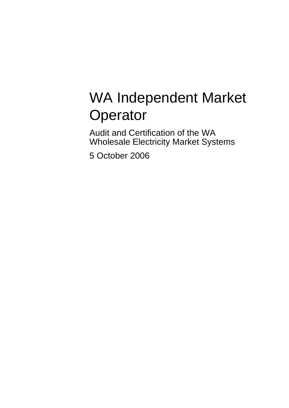# <span id="page-0-3"></span><span id="page-0-0"></span>WA Independent Market **Operator**

<span id="page-0-1"></span>Audit and Certification of the WA Wholesale Electricity Market Systems

<span id="page-0-2"></span>5 October 2006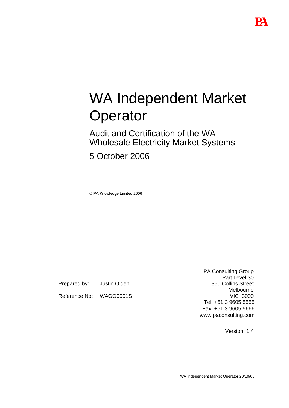# [WA Independent Market](#page-0-0)  **[Operator](#page-0-0)**

### [Audit and Certification of the WA](#page-0-1)  [Wholesale Electricity Market Systems](#page-0-1)

### [5 October 2006](#page-0-2)

© PA Knowledge Limited 2006

Prepared by: Justin Olden

Reference No: WAGO0001S

PA Consulting Group Part Level 30 360 Collins Street Melbourne VIC 3000 Tel: +61 3 9605 5555 Fax: +61 3 9605 5666 www.paconsulting.com

Version: 1.4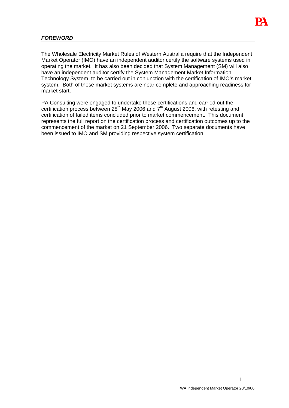#### <span id="page-2-0"></span>*FOREWORD*

The Wholesale Electricity Market Rules of Western Australia require that the Independent Market Operator (IMO) have an independent auditor certify the software systems used in operating the market. It has also been decided that System Management (SM) will also have an independent auditor certify the System Management Market Information Technology System, to be carried out in conjunction with the certification of IMO's market system. Both of these market systems are near complete and approaching readiness for market start.

PA Consulting were engaged to undertake these certifications and carried out the certification process between  $28<sup>th</sup>$  May 2006 and  $7<sup>th</sup>$  August 2006, with retesting and certification of failed items concluded prior to market commencement. This document represents the full report on the certification process and certification outcomes up to the commencement of the market on 21 September 2006. Two separate documents have been issued to IMO and SM providing respective system certification.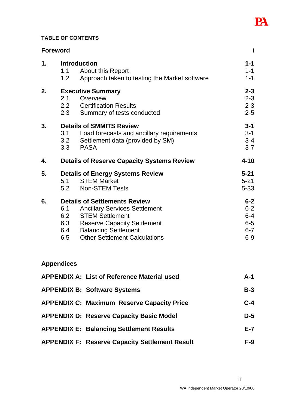# PA

#### **TABLE OF CONTENTS**

#### **[Foreword i](#page-2-0)**

| 1. |     | <b>Introduction</b>                               | $1 - 1$  |
|----|-----|---------------------------------------------------|----------|
|    | 1.1 | About this Report                                 | $1 - 1$  |
|    | 1.2 | Approach taken to testing the Market software     | $1 - 1$  |
| 2. |     | <b>Executive Summary</b>                          | $2 - 3$  |
|    | 2.1 | Overview                                          | $2 - 3$  |
|    |     | 2.2 Certification Results                         | $2 - 3$  |
|    | 2.3 | Summary of tests conducted                        | $2 - 5$  |
| 3. |     | <b>Details of SMMITS Review</b>                   | $3 - 1$  |
|    | 3.1 | Load forecasts and ancillary requirements         | $3 - 1$  |
|    | 3.2 | Settlement data (provided by SM)                  | $3 - 4$  |
|    | 3.3 | <b>PASA</b>                                       | $3 - 7$  |
| 4. |     | <b>Details of Reserve Capacity Systems Review</b> | $4 - 10$ |
| 5. |     | <b>Details of Energy Systems Review</b>           | $5 - 21$ |
|    | 5.1 | <b>STEM Market</b>                                | $5 - 21$ |
|    | 5.2 | <b>Non-STEM Tests</b>                             | $5 - 33$ |
| 6. |     | <b>Details of Settlements Review</b>              | $6 - 2$  |
|    | 6.1 | <b>Ancillary Services Settlement</b>              | $6 - 2$  |
|    | 6.2 | <b>STEM Settlement</b>                            | $6 - 4$  |
|    | 6.3 | <b>Reserve Capacity Settlement</b>                | $6-5$    |
|    | 6.4 | <b>Balancing Settlement</b>                       | $6 - 7$  |
|    | 6.5 | <b>Other Settlement Calculations</b>              | $6-9$    |
|    |     |                                                   |          |

### **Appendices**

| <b>APPENDIX A: List of Reference Material used</b>    | $A-1$ |
|-------------------------------------------------------|-------|
| <b>APPENDIX B: Software Systems</b>                   | $B-3$ |
| <b>APPENDIX C: Maximum Reserve Capacity Price</b>     | $C-4$ |
| <b>APPENDIX D: Reserve Capacity Basic Model</b>       | $D-5$ |
| <b>APPENDIX E: Balancing Settlement Results</b>       | $E-7$ |
| <b>APPENDIX F: Reserve Capacity Settlement Result</b> | $F-9$ |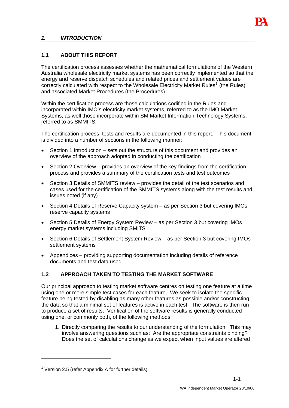#### <span id="page-4-0"></span>*1. INTRODUCTION*



The certification process assesses whether the mathematical formulations of the Western Australia wholesale electricity market systems has been correctly implemented so that the energy and reserve dispatch schedules and related prices and settlement values are correctly calculated with respect to the Wholesale Electricity Market Rules<sup>[1](#page-4-1)</sup> (the Rules) and associated Market Procedures (the Procedures).

Within the certification process are those calculations codified in the Rules and incorporated within IMO's electricity market systems, referred to as the IMO Market Systems, as well those incorporate within SM Market Information Technology Systems, referred to as SMMITS.

The certification process, tests and results are documented in this report. This document is divided into a number of sections in the following manner:

- Section 1 Introduction sets out the structure of this document and provides an overview of the approach adopted in conducting the certification
- Section 2 Overview provides an overview of the key findings from the certification process and provides a summary of the certification tests and test outcomes
- Section 3 Details of SMMITS review provides the detail of the test scenarios and cases used for the certification of the SMMITS systems along with the test results and issues noted (if any)
- Section 4 Details of Reserve Capacity system as per Section 3 but covering IMOs reserve capacity systems
- Section 5 Details of Energy System Review as per Section 3 but covering IMOs energy market systems including SMITS
- Section 6 Details of Settlement System Review as per Section 3 but covering IMOs settlement systems
- Appendices providing supporting documentation including details of reference documents and test data used.

#### **1.2 APPROACH TAKEN TO TESTING THE MARKET SOFTWARE**

Our principal approach to testing market software centres on testing one feature at a time using one or more simple test cases for each feature. We seek to isolate the specific feature being tested by disabling as many other features as possible and/or constructing the data so that a minimal set of features is active in each test. The software is then run to produce a set of results. Verification of the software results is generally conducted using one, or commonly both, of the following methods:

1. Directly comparing the results to our understanding of the formulation. This may involve answering questions such as: Are the appropriate constraints binding? Does the set of calculations change as we expect when input values are altered

 $\overline{a}$ 

<span id="page-4-1"></span><sup>&</sup>lt;sup>1</sup> Version 2.5 (refer Appendix A for further details)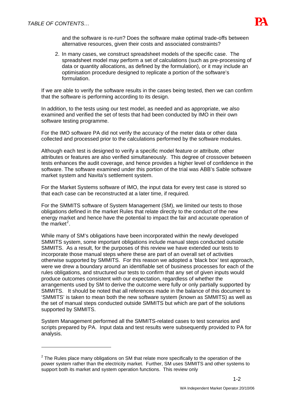1

and the software is re-run? Does the software make optimal trade-offs between alternative resources, given their costs and associated constraints?

2. In many cases, we construct spreadsheet models of the specific case. The spreadsheet model may perform a set of calculations (such as pre-processing of data or quantity allocations, as defined by the formulation), or it may include an optimisation procedure designed to replicate a portion of the software's formulation.

If we are able to verify the software results in the cases being tested, then we can confirm that the software is performing according to its design.

In addition, to the tests using our test model, as needed and as appropriate, we also examined and verified the set of tests that had been conducted by IMO in their own software testing programme.

For the IMO software PA did not verify the accuracy of the meter data or other data collected and processed prior to the calculations performed by the software modules.

Although each test is designed to verify a specific model feature or attribute, other attributes or features are also verified simultaneously. This degree of crossover between tests enhances the audit coverage, and hence provides a higher level of confidence in the software. The software examined under this portion of the trial was ABB's Sable software market system and Navita's settlement system.

For the Market Systems software of IMO, the input data for every test case is stored so that each case can be reconstructed at a later time, if required.

For the SMMITS software of System Management (SM), we limited our tests to those obligations defined in the market Rules that relate directly to the conduct of the new energy market and hence have the potential to impact the fair and accurate operation of the market<sup>[2](#page-5-0)</sup>.

While many of SM's obligations have been incorporated within the newly developed SMMITS system, some important obligations include manual steps conducted outside SMMITS. As a result, for the purposes of this review we have extended our tests to incorporate those manual steps where these are part of an overall set of activities otherwise supported by SMMITS. For this reason we adopted a 'black box' test approach, were we drew a boundary around an identifiable set of business processes for each of the rules obligations, and structured our tests to confirm that any set of given inputs would produce outcomes consistent with our expectation, regardless of whether the arrangements used by SM to derive the outcome were fully or only partially supported by SMMITS. It should be noted that all references made in the balance of this document to 'SMMITS' is taken to mean both the new software system (known as SMMITS) as well as the set of manual steps conducted outside SMMITS but which are part of the solutions supported by SMMITS.

System Management performed all the SMMITS-related cases to test scenarios and scripts prepared by PA. Input data and test results were subsequently provided to PA for analysis.

<span id="page-5-0"></span> $2$  The Rules place many obligations on SM that relate more specifically to the operation of the power system rather than the electricity market. Further, SM uses SMMITS and other systems to support both its market and system operation functions. This review only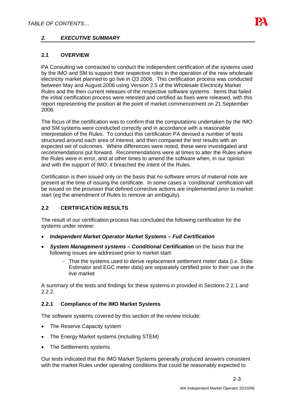

#### <span id="page-6-0"></span>*2. EXECUTIVE SUMMARY*

#### **2.1 OVERVIEW**

PA Consulting we contracted to conduct the independent certification of the systems used by the IMO and SM to support their respective roles in the operation of the new wholesale electricity market planned to go live in Q3 2006. This certification process was conducted between May and August 2006 using Version 2.5 of the Wholesale Electricity Market Rules and the then current releases of the respective software systems. Items that failed the initial certification process were retested and certified as fixes were released, with this report representing the position at the point of market commencement on 21 September 2006.

The focus of the certification was to confirm that the computations undertaken by the IMO and SM systems were conducted correctly and in accordance with a reasonable interpretation of the Rules. To conduct this certification PA devised a number of tests structured around each area of interest, and then compared the test results with an expected set of outcomes. Where differences were noted, these were investigated and recommendations put forward. Recommendations were at times to alter the Rules where the Rules were in error, and at other times to amend the software when, in our opinion and with the support of IMO, it breached the intent of the Rules.

Certification is then issued only on the basis that no software errors of material note are present at the time of issuing the certificate. In some cases a 'conditional' certification will be issued on the provision that defined corrective actions are implemented prior to market start (eg the amendment of Rules to remove an ambiguity).

#### **2.2 CERTIFICATION RESULTS**

The result of our certification process has concluded the following certification for the systems under review:

- *Independent Market Operator Market Systems Full Certification*
- *System Management systems Conditional Certification* on the basis that the following issues are addressed prior to market start:
	- − That the systems used to derive replacement settlement meter data (i.e. State Estimator and EGC meter data) are separately certified prior to their use in the live market

A summary of the tests and findings for these systems in provided in Sections 2.2.1 and 2.2.2.

#### **2.2.1 Compliance of the IMO Market Systems**

The software systems covered by this section of the review include:

- The Reserve Capacity system
- The Energy Market systems (including STEM)
- The Settlements systems

Our tests indicated that the IMO Market Systems generally produced answers consistent with the market Rules under operating conditions that could be reasonably expected to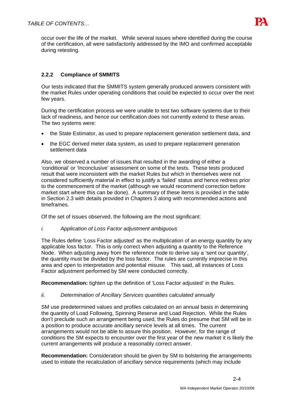

occur over the life of the market. While several issues where identified during the course of the certification, all were satisfactorily addressed by the IMO and confirmed acceptable during retesting.

#### **2.2.2 Compliance of SMMITS**

Our tests indicated that the SMMITS system generally produced answers consistent with the market Rules under operating conditions that could be expected to occur over the next few years.

During the certification process we were unable to test two software systems due to their lack of readiness, and hence our certification does not currently extend to these areas. The two systems were:

- the State Estimator, as used to prepare replacement generation settlement data, and
- the EGC derived meter data system, as used to prepare replacement generation settlement data

Also, we observed a number of issues that resulted in the awarding of either a 'conditional' or 'Inconclusive' assessment on some of the tests. These tests produced result that were inconsistent with the market Rules but which in themselves were not considered sufficiently material in effect to justify a 'failed' status and hence redress prior to the commencement of the market (although we would recommend correction before market start where this can be done). A summary of these items is provided in the table in Section 2.3 with details provided in Chapters 3 along with recommended actions and timeframes.

Of the set of issues observed, the following are the most significant:

#### *i. Application of Loss Factor adjustment ambiguous*

The Rules define 'Loss Factor adjusted' as the multiplication of an energy quantity by any applicable loss factor. This is only correct when adjusting a quantity to the Reference Node. When adjusting away from the reference node to derive say a 'sent our quantity', the quantity must be divided by the loss factor. The rules are currently imprecise in this area and open to interpretation and potential misuse. This said, all instances of Loss Factor adjustment performed by SM were conducted correctly.

**Recommendation:** tighten up the definition of 'Loss Factor adjusted' in the Rules.

#### *ii. Determination of Ancillary Services quantities calculated annually*

SM use predetermined values and profiles calculated on an annual basis in determining the quantity of Load Following, Spinning Reserve and Load Rejection. While the Rules don't preclude such an arrangement being used, the Rules do presume that SM will be in a position to produce accurate ancillary service levels at all times. The current arrangements would not be able to assure this position. However, for the range of conditions the SM expects to encounter over the first year of the new market it is likely the current arrangements will produce a reasonably correct answer.

**Recommendation:** Consideration should be given by SM to bolstering the arrangements used to initiate the recalculation of ancillary service requirements (which may include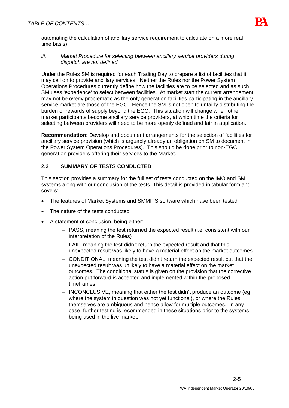

<span id="page-8-0"></span>automating the calculation of ancillary service requirement to calculate on a more real time basis)

#### *iii. Market Procedure for selecting between ancillary service providers during dispatch are not defined*

Under the Rules SM is required for each Trading Day to prepare a list of facilities that it may call on to provide ancillary services. Neither the Rules nor the Power System Operations Procedures currently define how the facilities are to be selected and as such SM uses 'experience' to select between facilities. At market start the current arrangement may not be overly problematic as the only generation facilities participating in the ancillary service market are those of the EGC. Hence the SM is not open to unfairly distributing the burden or rewards of supply beyond the EGC. This situation will change when other market participants become ancillary service providers, at which time the criteria for selecting between providers will need to be more openly defined and fair in application.

**Recommendation:** Develop and document arrangements for the selection of facilities for ancillary service provision (which is arguably already an obligation on SM to document in the Power System Operations Procedures). This should be done prior to non-EGC generation providers offering their services to the Market.

#### **2.3 SUMMARY OF TESTS CONDUCTED**

This section provides a summary for the full set of tests conducted on the IMO and SM systems along with our conclusion of the tests. This detail is provided in tabular form and covers:

- The features of Market Systems and SMMITS software which have been tested
- The nature of the tests conducted
- A statement of conclusion, being either:
	- − PASS, meaning the test returned the expected result (i.e. consistent with our interpretation of the Rules)
	- − FAIL, meaning the test didn't return the expected result and that this unexpected result was likely to have a material effect on the market outcomes
	- − CONDITIONAL, meaning the test didn't return the expected result but that the unexpected result was unlikely to have a material effect on the market outcomes. The conditional status is given on the provision that the corrective action put forward is accepted and implemented within the proposed timeframes
	- − INCONCLUSIVE, meaning that either the test didn't produce an outcome (eg where the system in question was not yet functional), or where the Rules themselves are ambiguous and hence allow for multiple outcomes. In any case, further testing is recommended in these situations prior to the systems being used in the live market.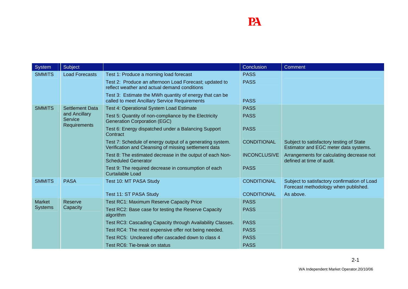## PA

| System         | Subject                         |                                                                                                                    | Conclusion          | Comment                                                                              |
|----------------|---------------------------------|--------------------------------------------------------------------------------------------------------------------|---------------------|--------------------------------------------------------------------------------------|
| <b>SMMITS</b>  | <b>Load Forecasts</b>           | Test 1: Produce a morning load forecast                                                                            | <b>PASS</b>         |                                                                                      |
|                |                                 | Test 2: Produce an afternoon Load Forecast; updated to<br>reflect weather and actual demand conditions             | <b>PASS</b>         |                                                                                      |
|                |                                 | Test 3: Estimate the MWh quantity of energy that can be<br>called to meet Ancillary Service Requirements           | <b>PASS</b>         |                                                                                      |
| <b>SMMITS</b>  | <b>Settlement Data</b>          | Test 4: Operational System Load Estimate                                                                           | <b>PASS</b>         |                                                                                      |
|                | and Ancillary<br><b>Service</b> | Test 5: Quantity of non-compliance by the Electricity<br><b>Generation Corporation (EGC)</b>                       | <b>PASS</b>         |                                                                                      |
|                | Requirements                    | Test 6: Energy dispatched under a Balancing Support<br>Contract                                                    | <b>PASS</b>         |                                                                                      |
|                |                                 | Test 7: Schedule of energy output of a generating system.<br>Verification and Cleansing of missing settlement data | <b>CONDITIONAL</b>  | Subject to satisfactory testing of State<br>Estimator and EGC meter data systems.    |
|                |                                 | Test 8: The estimated decrease in the output of each Non-<br><b>Scheduled Generator</b>                            | <b>INCONCLUSIVE</b> | Arrangements for calculating decrease not<br>defined at time of audit.               |
|                |                                 | Test 9: The required decrease in consumption of each<br><b>Curtailable Load</b>                                    | <b>PASS</b>         |                                                                                      |
| <b>SMMITS</b>  | <b>PASA</b>                     | Test 10: MT PASA Study                                                                                             | <b>CONDITIONAL</b>  | Subject to satisfactory confirmation of Load<br>Forecast methodology when published. |
|                |                                 | Test 11: ST PASA Study                                                                                             | <b>CONDITIONAL</b>  | As above.                                                                            |
| <b>Market</b>  | Reserve                         | <b>Test RC1: Maximum Reserve Capacity Price</b>                                                                    | <b>PASS</b>         |                                                                                      |
| <b>Systems</b> | Capacity                        | Test RC2: Base case for testing the Reserve Capacity<br>algorithm                                                  | <b>PASS</b>         |                                                                                      |
|                |                                 | Test RC3: Cascading Capacity through Availability Classes.                                                         | <b>PASS</b>         |                                                                                      |
|                |                                 | Test RC4: The most expensive offer not being needed.                                                               | <b>PASS</b>         |                                                                                      |
|                |                                 | Test RC5: Uncleared offer cascaded down to class 4                                                                 | <b>PASS</b>         |                                                                                      |
|                |                                 | Test RC6: Tie-break on status                                                                                      | <b>PASS</b>         |                                                                                      |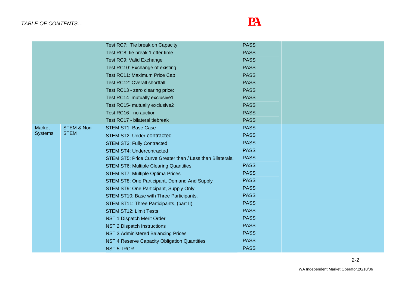#### *TABLE OF CONTENTS…*

# PA

|                |             | Test RC7: Tie break on Capacity                            | <b>PASS</b> |
|----------------|-------------|------------------------------------------------------------|-------------|
|                |             | Test RC8: tie break 1 offer time                           | <b>PASS</b> |
|                |             | Test RC9: Valid Exchange                                   | <b>PASS</b> |
|                |             | Test RC10: Exchange of existing                            | <b>PASS</b> |
|                |             | Test RC11: Maximum Price Cap                               | <b>PASS</b> |
|                |             | Test RC12: Overall shortfall                               | <b>PASS</b> |
|                |             | Test RC13 - zero clearing price:                           | <b>PASS</b> |
|                |             | Test RC14 mutually exclusive1                              | <b>PASS</b> |
|                |             | Test RC15- mutually exclusive2                             | <b>PASS</b> |
|                |             | Test RC16 - no auction                                     | <b>PASS</b> |
|                |             | Test RC17 - bilateral tiebreak                             | <b>PASS</b> |
| <b>Market</b>  | STEM & Non- | <b>STEM ST1: Base Case</b>                                 | <b>PASS</b> |
| <b>Systems</b> | <b>STEM</b> | <b>STEM ST2: Under contracted</b>                          | <b>PASS</b> |
|                |             | <b>STEM ST3: Fully Contracted</b>                          | <b>PASS</b> |
|                |             | <b>STEM ST4: Undercontracted</b>                           | <b>PASS</b> |
|                |             | STEM ST5; Price Curve Greater than / Less than Bilaterals. | <b>PASS</b> |
|                |             | <b>STEM ST6: Multiple Clearing Quantities</b>              | <b>PASS</b> |
|                |             | <b>STEM ST7: Multiple Optima Prices</b>                    | <b>PASS</b> |
|                |             | STEM ST8: One Participant, Demand And Supply               | <b>PASS</b> |
|                |             | STEM ST9: One Participant, Supply Only                     | <b>PASS</b> |
|                |             | STEM ST10: Base with Three Participants.                   | <b>PASS</b> |
|                |             | STEM ST11: Three Participants, (part II)                   | <b>PASS</b> |
|                |             | <b>STEM ST12: Limit Tests</b>                              | <b>PASS</b> |
|                |             | NST 1 Dispatch Merit Order                                 | <b>PASS</b> |
|                |             | <b>NST 2 Dispatch Instructions</b>                         | <b>PASS</b> |
|                |             | <b>NST 3 Administered Balancing Prices</b>                 | <b>PASS</b> |
|                |             | NST 4 Reserve Capacity Obligation Quantities               | <b>PASS</b> |
|                |             | <b>NST 5: IRCR</b>                                         | <b>PASS</b> |

2-2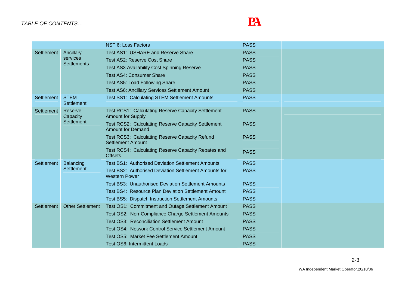#### *TABLE OF CONTENTS…*

## PA

|            |                                  | <b>NST 6: Loss Factors</b>                                                            | <b>PASS</b> |
|------------|----------------------------------|---------------------------------------------------------------------------------------|-------------|
| Settlement | Ancillary                        | Test AS1: USHARE and Reserve Share                                                    | <b>PASS</b> |
|            | services<br><b>Settlements</b>   | <b>Test AS2: Reserve Cost Share</b>                                                   | <b>PASS</b> |
|            |                                  | <b>Test AS3 Availability Cost Spinning Reserve</b>                                    | <b>PASS</b> |
|            |                                  | <b>Test AS4: Consumer Share</b>                                                       | <b>PASS</b> |
|            |                                  | <b>Test AS5: Load Following Share</b>                                                 | <b>PASS</b> |
|            |                                  | Test AS6: Ancillary Services Settlement Amount                                        | <b>PASS</b> |
| Settlement | <b>STEM</b><br><b>Settlement</b> | <b>Test SS1: Calculating STEM Settlement Amounts</b>                                  | <b>PASS</b> |
| Settlement | Reserve<br>Capacity              | <b>Test RCS1: Calculating Reserve Capacity Settlement</b><br><b>Amount for Supply</b> | <b>PASS</b> |
|            | <b>Settlement</b>                | Test RCS2: Calculating Reserve Capacity Settlement<br><b>Amount for Demand</b>        | <b>PASS</b> |
|            |                                  | Test RCS3: Calculating Reserve Capacity Refund<br><b>Settlement Amount</b>            | <b>PASS</b> |
|            |                                  | Test RCS4: Calculating Reserve Capacity Rebates and<br><b>Offsets</b>                 | <b>PASS</b> |
| Settlement | <b>Balancing</b>                 | <b>Test BS1: Authorised Deviation Settlement Amounts</b>                              | <b>PASS</b> |
|            | <b>Settlement</b>                | Test BS2: Authorised Deviation Settlement Amounts for<br><b>Western Power</b>         | <b>PASS</b> |
|            |                                  | <b>Test BS3: Unauthorised Deviation Settlement Amounts</b>                            | <b>PASS</b> |
|            |                                  | <b>Test BS4: Resource Plan Deviation Settlement Amount</b>                            | <b>PASS</b> |
|            |                                  | <b>Test BS5: Dispatch Instruction Settlement Amounts</b>                              | <b>PASS</b> |
| Settlement | <b>Other Settlement</b>          | Test OS1: Commitment and Outage Settlement Amount                                     | <b>PASS</b> |
|            |                                  | Test OS2: Non-Compliance Charge Settlement Amounts                                    | <b>PASS</b> |
|            |                                  | <b>Test OS3: Reconciliation Settlement Amount</b>                                     | <b>PASS</b> |
|            |                                  | Test OS4: Network Control Service Settlement Amount                                   | <b>PASS</b> |
|            |                                  | Test OS5: Market Fee Settlement Amount                                                | <b>PASS</b> |
|            |                                  | <b>Test OS6: Intermittent Loads</b>                                                   | <b>PASS</b> |

2-3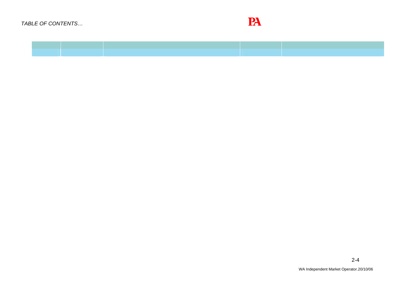

### PA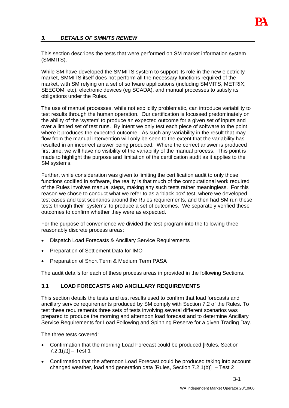#### <span id="page-13-0"></span>*3. DETAILS OF SMMITS REVIEW*

This section describes the tests that were performed on SM market information system (SMMITS).

While SM have developed the SMMITS system to support its role in the new electricity market, SMMITS itself does not perform all the necessary functions required of the market, with SM relying on a set of software applications (including SMMITS, METRIX, SEECOM, etc), electronic devices (eg SCADA), and manual processes to satisfy its obligations under the Rules.

The use of manual processes, while not explicitly problematic, can introduce variability to test results through the human operation. Our certification is focussed predominately on the ability of the 'system' to produce an expected outcome for a given set of inputs and over a limited set of test runs. By intent we only test each piece of software to the point where it produces the expected outcome. As such any variability in the result that may flow from the manual intervention will only be seen to the extent that the variability has resulted in an incorrect answer being produced. Where the correct answer is produced first time, we will have no visibility of the variability of the manual process. This point is made to highlight the purpose and limitation of the certification audit as it applies to the SM systems.

Further, while consideration was given to limiting the certification audit to only those functions codified in software, the reality is that much of the computational work required of the Rules involves manual steps, making any such tests rather meaningless. For this reason we chose to conduct what we refer to as a 'black box' test, where we developed test cases and test scenarios around the Rules requirements, and then had SM run these tests through their 'systems' to produce a set of outcomes. We separately verified these outcomes to confirm whether they were as expected.

For the purpose of convenience we divided the test program into the following three reasonably discrete process areas:

- Dispatch Load Forecasts & Ancillary Service Requirements
- Preparation of Settlement Data for IMO
- Preparation of Short Term & Medium Term PASA

The audit details for each of these process areas in provided in the following Sections.

#### **3.1 LOAD FORECASTS AND ANCILLARY REQUIREMENTS**

This section details the tests and test results used to confirm that load forecasts and ancillary service requirements produced by SM comply with Section 7.2 of the Rules. To test these requirements three sets of tests involving several different scenarios was prepared to produce the morning and afternoon load forecast and to determine Ancillary Service Requirements for Load Following and Spinning Reserve for a given Trading Day.

The three tests covered:

- Confirmation that the morning Load Forecast could be produced [Rules, Section  $7.2.1(a)$ ] – Test 1
- Confirmation that the afternoon Load Forecast could be produced taking into account changed weather, load and generation data [Rules, Section 7.2.1(b)] – Test 2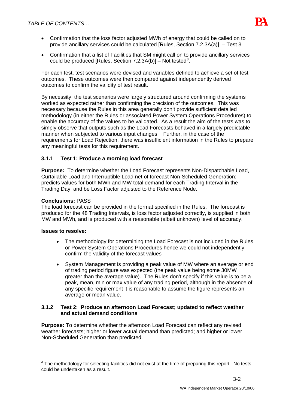- <span id="page-14-2"></span><span id="page-14-1"></span><span id="page-14-0"></span>• Confirmation that the loss factor adjusted MWh of energy that could be called on to provide ancillary services could be calculated [Rules, Section 7.2.3A(a)] – Test 3
- Confirmation that a list of Facilities that SM might call on to provide ancillary services could be produced [Rules, Section 7.2.[3](#page-14-2)A(b)]  $-$  Not tested<sup>3</sup>.

For each test, test scenarios were devised and variables defined to achieve a set of test outcomes. These outcomes were then compared against independently derived outcomes to confirm the validity of test result.

By necessity, the test scenarios were largely structured around confirming the systems worked as expected rather than confirming the precision of the outcomes. This was necessary because the Rules in this area generally don't provide sufficient detailed methodology (in either the Rules or associated Power System Operations Procedures) to enable the accuracy of the values to be validated. As a result the aim of the tests was to simply observe that outputs such as the Load Forecasts behaved in a largely predictable manner when subjected to various input changes. Further, in the case of the requirements for Load Rejection, there was insufficient information in the Rules to prepare any meaningful tests for this requirement.

#### **3.1.1 Test 1: Produce a morning load forecast**

**Purpose:** To determine whether the Load Forecast represents Non-Dispatchable Load, Curtailable Load and Interruptible Load net of forecast Non-Scheduled Generation; predicts values for both MWh and MW total demand for each Trading Interval in the Trading Day; and be Loss Factor adjusted to the Reference Node.

#### **Conclusions:** PASS

The load forecast can be provided in the format specified in the Rules. The forecast is produced for the 48 Trading Intervals, is loss factor adjusted correctly, is supplied in both MW and MWh, and is produced with a reasonable (albeit unknown) level of accuracy.

#### **Issues to resolve:**

1

- The methodology for determining the Load Forecast is not included in the Rules or Power System Operations Procedures hence we could not independently confirm the validity of the forecast values
- System Management is providing a peak value of MW where an average or end of trading period figure was expected (the peak value being some 30MW greater than the average value). The Rules don't specify if this value is to be a peak, mean, min or max value of any trading period, although in the absence of any specific requirement it is reasonable to assume the figure represents an average or mean value.

#### **3.1.2 Test 2: Produce an afternoon Load Forecast; updated to reflect weather and actual demand conditions**

**Purpose:** To determine whether the afternoon Load Forecast can reflect any revised weather forecasts; higher or lower actual demand than predicted; and higher or lower Non-Scheduled Generation than predicted.

 $3$  The methodology for selecting facilities did not exist at the time of preparing this report. No tests could be undertaken as a result.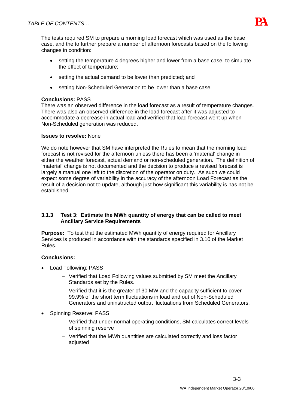<span id="page-15-0"></span>

The tests required SM to prepare a morning load forecast which was used as the base case, and the to further prepare a number of afternoon forecasts based on the following changes in condition:

- setting the temperature 4 degrees higher and lower from a base case, to simulate the effect of temperature;
- setting the actual demand to be lower than predicted; and
- setting Non-Scheduled Generation to be lower than a base case.

#### **Conclusions:** PASS

There was an observed difference in the load forecast as a result of temperature changes. There was also an observed difference in the load forecast after it was adjusted to accommodate a decrease in actual load and verified that load forecast went up when Non-Scheduled generation was reduced.

#### **Issues to resolve:** None

We do note however that SM have interpreted the Rules to mean that the morning load forecast is not revised for the afternoon unless there has been a 'material' change in either the weather forecast, actual demand or non-scheduled generation. The definition of 'material' change is not documented and the decision to produce a revised forecast is largely a manual one left to the discretion of the operator on duty. As such we could expect some degree of variability in the accuracy of the afternoon Load Forecast as the result of a decision not to update, although just how significant this variability is has not be established.

#### **3.1.3 Test 3: Estimate the MWh quantity of energy that can be called to meet Ancillary Service Requirements**

**Purpose:** To test that the estimated MWh quantity of energy required for Ancillary Services is produced in accordance with the standards specified in 3.10 of the Market Rules.

#### **Conclusions:**

- Load Following: PASS
	- − Verified that Load Following values submitted by SM meet the Ancillary Standards set by the Rules.
	- − Verified that it is the greater of 30 MW and the capacity sufficient to cover 99.9% of the short term fluctuations in load and out of Non-Scheduled Generators and uninstructed output fluctuations from Scheduled Generators.
- Spinning Reserve: PASS
	- − Verified that under normal operating conditions, SM calculates correct levels of spinning reserve
	- − Verified that the MWh quantities are calculated correctly and loss factor adiusted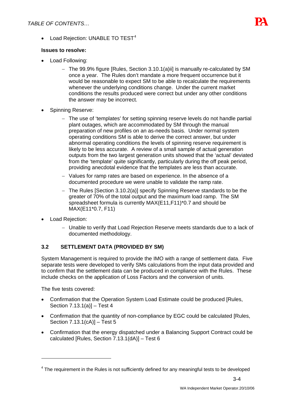

<span id="page-16-0"></span>• Load Rejection: UNABLE TO TEST<sup>[4](#page-16-0)</sup>

#### **Issues to resolve:**

- Load Following:
	- − The 99.9% figure [Rules, Section 3.10.1(a)ii] is manually re-calculated by SM once a year. The Rules don't mandate a more frequent occurrence but it would be reasonable to expect SM to be able to recalculate the requirements whenever the underlying conditions change. Under the current market conditions the results produced were correct but under any other conditions the answer may be incorrect.
- Spinning Reserve:
	- − The use of 'templates' for setting spinning reserve levels do not handle partial plant outages, which are accommodated by SM through the manual preparation of new profiles on an as-needs basis. Under normal system operating conditions SM is able to derive the correct answer, but under abnormal operating conditions the levels of spinning reserve requirement is likely to be less accurate. A review of a small sample of actual generation outputs from the two largest generation units showed that the 'actual' deviated from the 'template' quite significantly, particularly during the off peak period, providing anecdotal evidence that the templates are less than accurate.
	- − Values for ramp rates are based on experience. In the absence of a documented procedure we were unable to validate the ramp rate.
	- − The Rules [Section 3.10.2(a)] specify Spinning Reserve standards to be the greater of 70% of the total output and the maximum load ramp. The SM spreadsheet formula is currently MAX(E11,F11)\*0.7 and should be MAX(E11\*0.7, F11)
- Load Rejection:
	- − Unable to verify that Load Rejection Reserve meets standards due to a lack of documented methodology.

#### **3.2 SETTLEMENT DATA (PROVIDED BY SM)**

System Management is required to provide the IMO with a range of settlement data. Five separate tests were developed to verify SMs calculations from the input data provided and to confirm that the settlement data can be produced in compliance with the Rules. These include checks on the application of Loss Factors and the conversion of units.

The five tests covered:

 $\overline{a}$ 

- Confirmation that the Operation System Load Estimate could be produced [Rules, Section 7.13.1(a)] – Test 4
- Confirmation that the quantity of non-compliance by EGC could be calculated [Rules, Section 7.13.1(cA)] – Test 5
- Confirmation that the energy dispatched under a Balancing Support Contract could be calculated [Rules, Section 7.13.1(dA)] – Test 6

 $4$  The requirement in the Rules is not sufficiently defined for any meaningful tests to be developed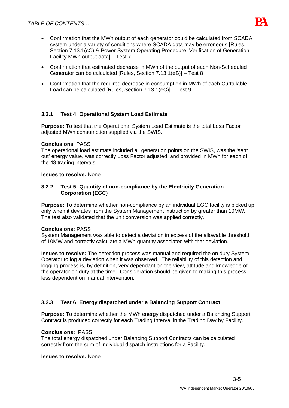- <span id="page-17-2"></span><span id="page-17-1"></span><span id="page-17-0"></span>• Confirmation that the MWh output of each generator could be calculated from SCADA system under a variety of conditions where SCADA data may be erroneous [Rules, Section 7.13.1(cC) & Power System Operating Procedure, Verification of Generation Facility MWh output data] – Test 7
- Confirmation that estimated decrease in MWh of the output of each Non-Scheduled Generator can be calculated [Rules, Section 7.13.1(eB)] – Test 8
- Confirmation that the required decrease in consumption in MWh of each Curtailable Load can be calculated [Rules, Section 7.13.1(eC)] – Test 9

#### **3.2.1 Test 4: Operational System Load Estimate**

**Purpose:** To test that the Operational System Load Estimate is the total Loss Factor adjusted MWh consumption supplied via the SWIS.

#### **Conclusions**: PASS

The operational load estimate included all generation points on the SWIS, was the 'sent out' energy value, was correctly Loss Factor adjusted, and provided in MWh for each of the 48 trading intervals.

#### **Issues to resolve:** None

#### **3.2.2 Test 5: Quantity of non-compliance by the Electricity Generation Corporation (EGC)**

**Purpose:** To determine whether non-compliance by an individual EGC facility is picked up only when it deviates from the System Management instruction by greater than 10MW. The test also validated that the unit conversion was applied correctly.

#### **Conclusions:** PASS

System Management was able to detect a deviation in excess of the allowable threshold of 10MW and correctly calculate a MWh quantity associated with that deviation.

**Issues to resolve:** The detection process was manual and required the on duty System Operator to log a deviation when it was observed. The reliability of this detection and logging process is, by definition, very dependant on the view, attitude and knowledge of the operator on duty at the time. Consideration should be given to making this process less dependent on manual intervention.

#### **3.2.3 Test 6: Energy dispatched under a Balancing Support Contract**

**Purpose:** To determine whether the MWh energy dispatched under a Balancing Support Contract is produced correctly for each Trading Interval in the Trading Day by Facility.

#### **Conclusions:** PASS

The total energy dispatched under Balancing Support Contracts can be calculated correctly from the sum of individual dispatch instructions for a Facility.

#### **Issues to resolve:** None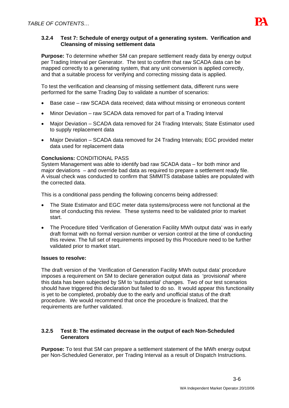#### <span id="page-18-1"></span><span id="page-18-0"></span>**3.2.4 Test 7: Schedule of energy output of a generating system. Verification and Cleansing of missing settlement data**

**Purpose:** To determine whether SM can prepare settlement ready data by energy output per Trading Interval per Generator. The test to confirm that raw SCADA data can be mapped correctly to a generating system, that any unit conversion is applied correctly, and that a suitable process for verifying and correcting missing data is applied.

To test the verification and cleansing of missing settlement data, different runs were performed for the same Trading Day to validate a number of scenarios:

- Base case raw SCADA data received; data without missing or erroneous content
- Minor Deviation raw SCADA data removed for part of a Trading Interval
- Major Deviation SCADA data removed for 24 Trading Intervals; State Estimator used to supply replacement data
- Major Deviation SCADA data removed for 24 Trading Intervals; EGC provided meter data used for replacement data

#### **Conclusions:** CONDITIONAL PASS

System Management was able to identify bad raw SCADA data – for both minor and major deviations – and override bad data as required to prepare a settlement ready file. A visual check was conducted to confirm that SMMITS database tables are populated with the corrected data.

This is a conditional pass pending the following concerns being addressed:

- The State Estimator and EGC meter data systems/process were not functional at the time of conducting this review. These systems need to be validated prior to market start.
- The Procedure titled 'Verification of Generation Facility MWh output data' was in early draft format with no formal version number or version control at the time of conducting this review. The full set of requirements imposed by this Procedure need to be further validated prior to market start.

#### **Issues to resolve:**

The draft version of the 'Verification of Generation Facility MWh output data' procedure imposes a requirement on SM to declare generation output data as 'provisional' where this data has been subjected by SM to 'substantial' changes. Two of our test scenarios should have triggered this declaration but failed to do so. It would appear this functionality is yet to be completed, probably due to the early and unofficial status of the draft procedure. We would recommend that once the procedure is finalized, that the requirements are further validated.

#### **3.2.5 Test 8: The estimated decrease in the output of each Non-Scheduled Generators**

**Purpose:** To test that SM can prepare a settlement statement of the MWh energy output per Non-Scheduled Generator, per Trading Interval as a result of Dispatch Instructions.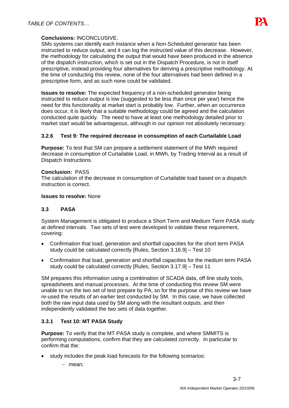#### <span id="page-19-2"></span><span id="page-19-1"></span><span id="page-19-0"></span>**Conclusions:** INCONCLUSIVE.

SMs systems can identify each instance when a Non-Scheduled generator has been instructed to reduce output, and it can log the instructed value of this decrease. However, the methodology for calculating the output that would have been produced in the absence of the dispatch instruction, which is set out in the Dispatch Procedure, is not in itself prescriptive, instead providing four alternatives for deriving a prescriptive methodology. At the time of conducting this review, none of the four alternatives had been defined in a prescriptive form, and as such none could be validated.

**Issues to resolve:** The expected frequency of a non-scheduled generator being instructed to reduce output is low (suggested to be less than once per year) hence the need for this functionality at market start is probably low. Further, when an occurrence does occur, it is likely that a suitable methodology could be agreed and the calculation conducted quite quickly. The need to have at least one methodology detailed prior to market start would be advantageous, although in our opinion not absolutely necessary.

#### **3.2.6 Test 9: The required decrease in consumption of each Curtailable Load**

**Purpose:** To test that SM can prepare a settlement statement of the MWh required decrease in consumption of Curtailable Load, in MWh, by Trading Interval as a result of Dispatch Instructions.

#### **Conclusion:** PASS

The calculation of the decrease in consumption of Curtailable load based on a dispatch instruction is correct.

#### **Issues to resolve:** None

#### **3.3 PASA**

System Management is obligated to produce a Short Term and Medium Term PASA study at defined intervals. Two sets of test were developed to validate these requirement, covering:

- Confirmation that load, generation and shortfall capacities for the short term PASA study could be calculated correctly [Rules, Section 3.16.9] – Test 10
- Confirmation that load, generation and shortfall capacities for the medium term PASA study could be calculated correctly [Rules, Section 3.17.9] – Test 11

SM prepares this information using a combination of SCADA data, off line study tools, spreadsheets and manual processes. At the time of conducting this review SM were unable to run the two set of test prepare by PA, so for the purpose of this review we have re-used the results of an earlier test conducted by SM. In this case, we have collected both the raw input data used by SM along with the resultant outputs, and then independently validated the two sets of data together.

#### **3.3.1 Test 10: MT PASA Study**

**Purpose:** To verify that the MT PASA study is complete, and where SMMITS is performing computations, confirm that they are calculated correctly. In particular to confirm that the:

- study includes the peak load forecasts for the following scenarios:
	- − mean;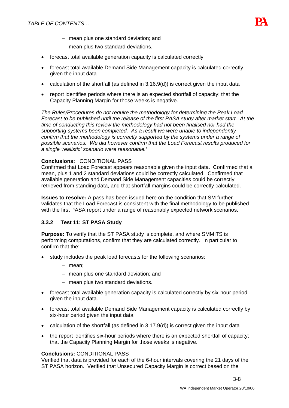<span id="page-20-0"></span>

- − mean plus one standard deviation; and
- − mean plus two standard deviations.
- forecast total available generation capacity is calculated correctly
- forecast total available Demand Side Management capacity is calculated correctly given the input data
- calculation of the shortfall (as defined in 3.16.9(d)) is correct given the input data
- report identifies periods where there is an expected shortfall of capacity; that the Capacity Planning Margin for those weeks is negative.

*The Rules/Procedures do not require the methodology for determining the Peak Load Forecast to be published until the release of the first PASA study after market start. At the time of conducting this review the methodology had not been finalised nor had the supporting systems been completed. As a result we were unable to independently confirm that the methodology is correctly supported by the systems under a range of possible scenarios. We did however confirm that the Load Forecast results produced for a single 'realistic' scenario were reasonable.'*

#### **Conclusions:** CONDITIONAL PASS

Confirmed that Load Forecast appears reasonable given the input data. Confirmed that a mean, plus 1 and 2 standard deviations could be correctly calculated. Confirmed that available generation and Demand Side Management capacities could be correctly retrieved from standing data, and that shortfall margins could be correctly calculated.

**Issues to resolve:** A pass has been issued here on the condition that SM further validates that the Load Forecast is consistent with the final methodology to be published with the first PASA report under a range of reasonably expected network scenarios.

#### **3.3.2 Test 11: ST PASA Study**

**Purpose:** To verify that the ST PASA study is complete, and where SMMITS is performing computations, confirm that they are calculated correctly. In particular to confirm that the:

- study includes the peak load forecasts for the following scenarios:
	- − mean;
	- − mean plus one standard deviation; and
	- − mean plus two standard deviations.
- forecast total available generation capacity is calculated correctly by six-hour period given the input data.
- forecast total available Demand Side Management capacity is calculated correctly by six-hour period given the input data
- calculation of the shortfall (as defined in 3.17.9(d)) is correct given the input data
- the report identifies six-hour periods where there is an expected shortfall of capacity; that the Capacity Planning Margin for those weeks is negative.

#### **Conclusions:** CONDITIONAL PASS

Verified that data is provided for each of the 6-hour intervals covering the 21 days of the ST PASA horizon. Verified that Unsecured Capacity Margin is correct based on the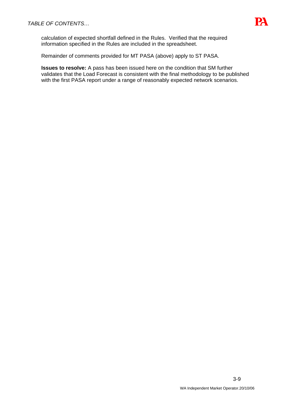calculation of expected shortfall defined in the Rules. Verified that the required information specified in the Rules are included in the spreadsheet.

Remainder of comments provided for MT PASA (above) apply to ST PASA.

**Issues to resolve:** A pass has been issued here on the condition that SM further validates that the Load Forecast is consistent with the final methodology to be published with the first PASA report under a range of reasonably expected network scenarios.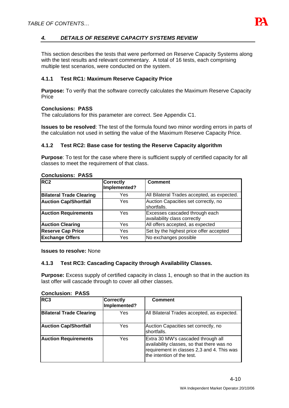#### <span id="page-22-1"></span><span id="page-22-0"></span>*4. DETAILS OF RESERVE CAPACITY SYSTEMS REVIEW*

This section describes the tests that were performed on Reserve Capacity Systems along with the test results and relevant commentary. A total of 16 tests, each comprising multiple test scenarios, were conducted on the system.

#### **4.1.1 Test RC1: Maximum Reserve Capacity Price**

**Purpose:** To verify that the software correctly calculates the Maximum Reserve Capacity Price

#### **Conclusions: PASS**

The calculations for this parameter are correct. See Appendix C1.

**Issues to be resolved**: The test of the formula found two minor wording errors in parts of the calculation not used in setting the value of the Maximum Reserve Capacity Price.

#### **4.1.2 Test RC2: Base case for testing the Reserve Capacity algorithm**

**Purpose**: To test for the case where there is sufficient supply of certified capacity for all classes to meet the requirement of that class.

#### **Conclusions: PASS**

| RC <sub>2</sub>                 | <b>Correctly</b><br>Implemented? | <b>Comment</b>                                                 |
|---------------------------------|----------------------------------|----------------------------------------------------------------|
| <b>Bilateral Trade Clearing</b> | Yes                              | All Bilateral Trades accepted, as expected.                    |
| <b>Auction Cap/Shortfall</b>    | Yes                              | Auction Capacities set correctly, no<br>shortfalls.            |
| <b>Auction Requirements</b>     | Yes                              | Excesses cascaded through each<br>availability class correctly |
| <b>Auction Clearing</b>         | Yes                              | All offers accepted, as expected                               |
| <b>Reserve Cap Price</b>        | Yes                              | Set by the highest price offer accepted                        |
| <b>Exchange Offers</b>          | Yes                              | No exchanges possible                                          |

**Issues to resolve:** None

#### **4.1.3 Test RC3: Cascading Capacity through Availability Classes.**

**Purpose:** Excess supply of certified capacity in class 1, enough so that in the auction its last offer will cascade through to cover all other classes.

| RC <sub>3</sub>                 | <b>Correctly</b><br>Implemented? | <b>Comment</b>                                                                                                                                               |
|---------------------------------|----------------------------------|--------------------------------------------------------------------------------------------------------------------------------------------------------------|
| <b>Bilateral Trade Clearing</b> | Yes                              | All Bilateral Trades accepted, as expected.                                                                                                                  |
| <b>Auction Cap/Shortfall</b>    | Yes                              | Auction Capacities set correctly, no<br>Ishortfalls.                                                                                                         |
| <b>Auction Requirements</b>     | Yes                              | Extra 30 MW's cascaded through all<br>availability classes, so that there was no<br>requirement in classes 2,3 and 4. This was<br>the intention of the test. |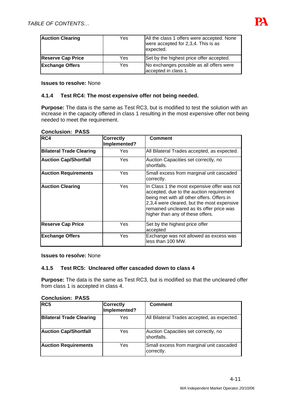<span id="page-23-1"></span><span id="page-23-0"></span>

| <b>Auction Clearing</b>  | Yes | All the class 1 offers were accepted. None<br>were accepted for 2,3,4. This is as<br>expected. |
|--------------------------|-----|------------------------------------------------------------------------------------------------|
| <b>Reserve Cap Price</b> | Yes | Set by the highest price offer accepted.                                                       |
| <b>Exchange Offers</b>   | Yes | No exchanges possible as all offers were<br>accepted in class 1.                               |

#### **4.1.4 Test RC4: The most expensive offer not being needed.**

**Purpose:** The data is the same as Test RC3, but is modified to test the solution with an increase in the capacity offered in class 1 resulting in the most expensive offer not being needed to meet the requirement.

#### **Conclusion: PASS**

| RC4                             | <b>Correctly</b><br>Implemented? | <b>Comment</b>                                                                                                                                                                                                                                                       |
|---------------------------------|----------------------------------|----------------------------------------------------------------------------------------------------------------------------------------------------------------------------------------------------------------------------------------------------------------------|
| <b>Bilateral Trade Clearing</b> | Yes.                             | All Bilateral Trades accepted, as expected.                                                                                                                                                                                                                          |
| <b>Auction Cap/Shortfall</b>    | Yes.                             | Auction Capacities set correctly, no<br>shortfalls.                                                                                                                                                                                                                  |
| <b>Auction Requirements</b>     | Yes                              | Small excess from marginal unit cascaded<br>correctly.                                                                                                                                                                                                               |
| <b>Auction Clearing</b>         | Yes.                             | In Class 1 the most expensive offer was not<br>accepted, due to the auction requirement<br>being met with all other offers. Offers in<br>2,3,4 were cleared, but the most expensive<br>remained uncleared as its offer price was<br>higher than any of these offers. |
| <b>Reserve Cap Price</b>        | Yes                              | Set by the highest price offer<br>accepted                                                                                                                                                                                                                           |
| <b>Exchange Offers</b>          | Yes                              | Exchange was not allowed as excess was<br>less than 100 MW.                                                                                                                                                                                                          |

**Issues to resolve:** None

#### **4.1.5 Test RC5: Uncleared offer cascaded down to class 4**

**Purpose:** The data is the same as Test RC3, but is modified so that the uncleared offer from class 1 is accepted in class 4.

| <b>Conclusion: PASS</b> |  |  |  |
|-------------------------|--|--|--|
|-------------------------|--|--|--|

| RC5                             | <b>Correctly</b><br>Implemented? | <b>Comment</b>                                         |
|---------------------------------|----------------------------------|--------------------------------------------------------|
| <b>Bilateral Trade Clearing</b> | Yes                              | All Bilateral Trades accepted, as expected.            |
| <b>Auction Cap/Shortfall</b>    | Yes                              | Auction Capacities set correctly, no<br>shortfalls.    |
| <b>Auction Requirements</b>     | Yes                              | Small excess from marginal unit cascaded<br>correctly. |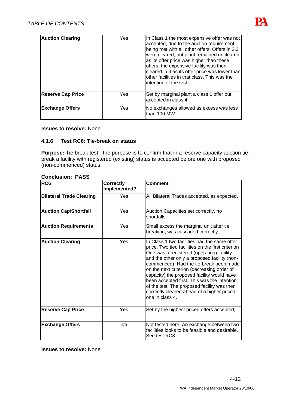<span id="page-24-0"></span>

| <b>Auction Clearing</b>  | Yes | In Class 1 the most expensive offer was not<br>accepted, due to the auction requirement<br>being met with all other offers. Offers in 2,3<br>were cleared, but plant remained uncleared<br>as its offer price was higher than these<br>offers. the expensive facility was then<br>cleared in 4 as its offer price was lower than<br>lother facilities in that class. This was the<br>lintention of the test. |
|--------------------------|-----|--------------------------------------------------------------------------------------------------------------------------------------------------------------------------------------------------------------------------------------------------------------------------------------------------------------------------------------------------------------------------------------------------------------|
| <b>Reserve Cap Price</b> | Yes | Set by marginal plant a class 1 offer but<br>accepted in class 4                                                                                                                                                                                                                                                                                                                                             |
| <b>Exchange Offers</b>   | Yes | No exchanges allowed as excess was less<br>than 100 MW.                                                                                                                                                                                                                                                                                                                                                      |

#### **4.1.6 Test RC6: Tie-break on status**

**Purpose:** Tie break test - the purpose is to confirm that in a reserve capacity auction tiebreak a facility with registered (existing) status is accepted before one with proposed (non-commenced) status.

| RC <sub>6</sub>                 | Correctly<br>Implemented? | <b>Comment</b>                                                                                                                                                                                                                                                                                                                                                                                                                                                                                       |
|---------------------------------|---------------------------|------------------------------------------------------------------------------------------------------------------------------------------------------------------------------------------------------------------------------------------------------------------------------------------------------------------------------------------------------------------------------------------------------------------------------------------------------------------------------------------------------|
| <b>Bilateral Trade Clearing</b> | Yes                       | All Bilateral Trades accepted, as expected.                                                                                                                                                                                                                                                                                                                                                                                                                                                          |
| <b>Auction Cap/Shortfall</b>    | <b>Yes</b>                | Auction Capacities set correctly, no<br>shortfalls.                                                                                                                                                                                                                                                                                                                                                                                                                                                  |
| <b>Auction Requirements</b>     | <b>Yes</b>                | Small excess the marginal unit after tie<br>breaking, was cascaded correctly.                                                                                                                                                                                                                                                                                                                                                                                                                        |
| <b>Auction Clearing</b>         | Yes                       | In Class 1 two facilities had the same offer<br>price. Two tied facilities on the first criterion<br>One was a registered (operating) facility<br>and the other only a proposed facility (non-<br>commenced). Had the tie-break been made<br>on the next criterion (decreasing order of<br>capacity) the proposed facility would have<br>been accepted first. This was the intention<br>of the test. The proposed facility was then<br>correctly cleared ahead of a higher priced<br>one in class 4. |
| <b>Reserve Cap Price</b>        | Yes                       | Set by the highest priced offers accepted,                                                                                                                                                                                                                                                                                                                                                                                                                                                           |
| <b>Exchange Offers</b>          | n/a                       | Not tested here. An exchange between two<br>facilities looks to be feasible and desirable.<br>See test RC8.                                                                                                                                                                                                                                                                                                                                                                                          |

#### **Conclusion: PASS**

**Issues to resolve:** None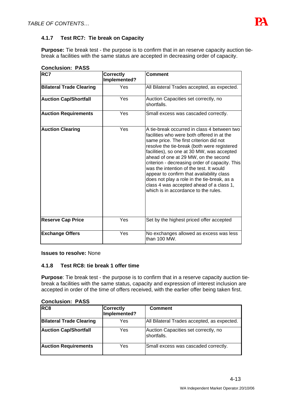#### <span id="page-25-1"></span><span id="page-25-0"></span>**4.1.7 Test RC7: Tie break on Capacity**

**Purpose:** Tie break test - the purpose is to confirm that in an reserve capacity auction tiebreak a facilities with the same status are accepted in decreasing order of capacity.

| RC7                             | Correctly<br>Implemented? | <b>Comment</b>                                                                                                                                                                                                                                                                                                                                                                                                                                                                                                                                         |
|---------------------------------|---------------------------|--------------------------------------------------------------------------------------------------------------------------------------------------------------------------------------------------------------------------------------------------------------------------------------------------------------------------------------------------------------------------------------------------------------------------------------------------------------------------------------------------------------------------------------------------------|
| <b>Bilateral Trade Clearing</b> | Yes                       | All Bilateral Trades accepted, as expected.                                                                                                                                                                                                                                                                                                                                                                                                                                                                                                            |
| <b>Auction Cap/Shortfall</b>    | Yes                       | Auction Capacities set correctly, no<br>shortfalls.                                                                                                                                                                                                                                                                                                                                                                                                                                                                                                    |
| <b>Auction Requirements</b>     | Yes                       | Small excess was cascaded correctly.                                                                                                                                                                                                                                                                                                                                                                                                                                                                                                                   |
| <b>Auction Clearing</b>         | Yes                       | A tie-break occurred in class 4 between two<br>facilities who were both offered in at the<br>same price. The first criterion did not<br>resolve the tie-break (both were registered<br>facilities), so one at 30 MW, was accepted<br>ahead of one at 29 MW, on the second<br>criterion - decreasing order of capacity. This<br>was the intention of the test. It would<br>appear to confirm that availability class<br>does not play a role in the tie-break, as a<br>class 4 was accepted ahead of a class 1,<br>which is in accordance to the rules. |
| <b>Reserve Cap Price</b>        | Yes                       | Set by the highest priced offer accepted                                                                                                                                                                                                                                                                                                                                                                                                                                                                                                               |
| <b>Exchange Offers</b>          | Yes                       | No exchanges allowed as excess was less<br>than 100 MW.                                                                                                                                                                                                                                                                                                                                                                                                                                                                                                |

**Conclusion: PASS** 

**Issues to resolve:** None

#### **4.1.8 Test RC8: tie break 1 offer time**

**Purpose**: Tie break test - the purpose is to confirm that in a reserve capacity auction tiebreak a facilities with the same status, capacity and expression of interest inclusion are accepted in order of the time of offers received, with the earlier offer being taken first.

| <b>Conclusion: PASS</b> |  |
|-------------------------|--|
|-------------------------|--|

| RC <sub>8</sub>                 | <b>Correctly</b><br>Implemented? | <b>Comment</b>                                       |
|---------------------------------|----------------------------------|------------------------------------------------------|
| <b>Bilateral Trade Clearing</b> | Yes                              | All Bilateral Trades accepted, as expected.          |
| <b>Auction Cap/Shortfall</b>    | Yes                              | Auction Capacities set correctly, no<br>Ishortfalls. |
| <b>Auction Requirements</b>     | Yes                              | Small excess was cascaded correctly.                 |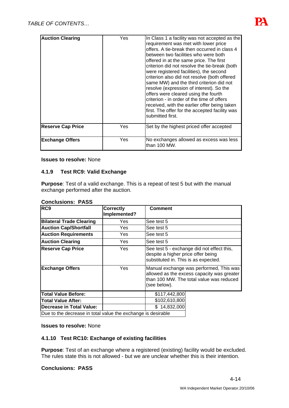<span id="page-26-1"></span><span id="page-26-0"></span>

| <b>Auction Clearing</b>  | Yes | In Class 1 a facility was not accepted as the<br>requirement was met with lower price<br>offers. A tie-break then occurred in class 4<br>between two facilities who were both<br>offered in at the same price. The first<br>criterion did not resolve the tie-break (both<br>were registered facilities), the second<br>criterion also did not resolve (both offered<br>same MW) and the third criterion did not<br>resolve (expression of interest). So the<br>offers were cleared using the fourth<br>criterion - in order of the time of offers<br>received, with the earlier offer being taken<br>first. The offer for the accepted facility was<br>submitted first. |
|--------------------------|-----|--------------------------------------------------------------------------------------------------------------------------------------------------------------------------------------------------------------------------------------------------------------------------------------------------------------------------------------------------------------------------------------------------------------------------------------------------------------------------------------------------------------------------------------------------------------------------------------------------------------------------------------------------------------------------|
| <b>Reserve Cap Price</b> | Yes | Set by the highest priced offer accepted                                                                                                                                                                                                                                                                                                                                                                                                                                                                                                                                                                                                                                 |
| <b>Exchange Offers</b>   | Yes | No exchanges allowed as excess was less<br>than 100 MW.                                                                                                                                                                                                                                                                                                                                                                                                                                                                                                                                                                                                                  |

#### **4.1.9 Test RC9: Valid Exchange**

**Purpose**: Test of a valid exchange. This is a repeat of test 5 but with the manual exchange performed after the auction.

| <b>IRC9</b>                                                  | <b>Correctly</b> | <b>Comment</b>                                                             |                                                                                                                                   |
|--------------------------------------------------------------|------------------|----------------------------------------------------------------------------|-----------------------------------------------------------------------------------------------------------------------------------|
|                                                              | Implemented?     |                                                                            |                                                                                                                                   |
| <b>Bilateral Trade Clearing</b>                              | Yes.             | See test 5                                                                 |                                                                                                                                   |
| <b>Auction Cap/Shortfall</b>                                 | Yes              | See test 5                                                                 |                                                                                                                                   |
| <b>Auction Requirements</b>                                  | Yes              | See test 5                                                                 |                                                                                                                                   |
| <b>Auction Clearing</b>                                      | Yes              | See test 5                                                                 |                                                                                                                                   |
| <b>Reserve Cap Price</b>                                     | Yes              | despite a higher price offer being<br>substituted in. This is as expected. | See test 5 - exchange did not effect this,                                                                                        |
| <b>Exchange Offers</b>                                       | Yes              | (see below).                                                               | Manual exchange was performed, This was<br>allowed as the excess capacity was greater<br>than 100 MW. The total value was reduced |
| <b>Total Value Before:</b>                                   |                  | \$117,442,800                                                              |                                                                                                                                   |
| <b>Total Value After:</b>                                    |                  | \$102,610,800                                                              |                                                                                                                                   |
| Decrease in Total Value:                                     |                  | \$14,832,000                                                               |                                                                                                                                   |
| Due to the decrease in total value the exchange is desirable |                  |                                                                            |                                                                                                                                   |

#### **Conclusions: PASS**

#### **Issues to resolve:** None

#### **4.1.10 Test RC10: Exchange of existing facilities**

**Purpose**: Test of an exchange where a registered (existing) facility would be excluded. The rules state this is not allowed - but we are unclear whether this is their intention.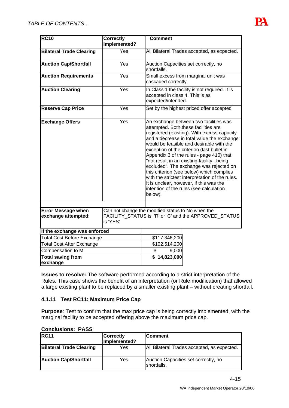

<span id="page-27-0"></span>

| <b>RC10</b>                                      | Correctly                                                                                                              | <b>Comment</b>                                                                                                                                                                                                                                                                                                                                                                                                                                                                                                                                                                                            |
|--------------------------------------------------|------------------------------------------------------------------------------------------------------------------------|-----------------------------------------------------------------------------------------------------------------------------------------------------------------------------------------------------------------------------------------------------------------------------------------------------------------------------------------------------------------------------------------------------------------------------------------------------------------------------------------------------------------------------------------------------------------------------------------------------------|
|                                                  | Implemented?                                                                                                           |                                                                                                                                                                                                                                                                                                                                                                                                                                                                                                                                                                                                           |
| <b>Bilateral Trade Clearing</b>                  | Yes                                                                                                                    | All Bilateral Trades accepted, as expected.                                                                                                                                                                                                                                                                                                                                                                                                                                                                                                                                                               |
| <b>Auction Cap/Shortfall</b>                     | Yes                                                                                                                    | Auction Capacities set correctly, no<br>shortfalls.                                                                                                                                                                                                                                                                                                                                                                                                                                                                                                                                                       |
| <b>Auction Requirements</b>                      | Yes                                                                                                                    | Small excess from marginal unit was<br>cascaded correctly.                                                                                                                                                                                                                                                                                                                                                                                                                                                                                                                                                |
| <b>Auction Clearing</b>                          | Yes                                                                                                                    | In Class 1 the facility is not required. It is<br>accepted in class 4. This is as<br>expected/intended.                                                                                                                                                                                                                                                                                                                                                                                                                                                                                                   |
| <b>Reserve Cap Price</b>                         | Yes                                                                                                                    | Set by the highest priced offer accepted                                                                                                                                                                                                                                                                                                                                                                                                                                                                                                                                                                  |
| <b>Exchange Offers</b>                           | Yes                                                                                                                    | An exchange between two facilities was<br>attempted. Both these facilities are<br>registered (existing). With excess capacity<br>and a decrease in total value the exchange<br>would be feasible and desirable with the<br>exception of the criterion (last bullet in<br>Appendix 3 of the rules - page 410) that<br>"not result in an existing facilitybeing<br>excluded". The exchange was rejected on<br>this criterion (see below) which complies<br>with the strictest interpretation of the rules.<br>It is unclear, however, if this was the<br>intention of the rules (see calculation<br>below). |
|                                                  |                                                                                                                        |                                                                                                                                                                                                                                                                                                                                                                                                                                                                                                                                                                                                           |
| <b>Error Message when</b><br>exchange attempted: | Can not change the modified status to No when the<br>FACILITY STATUS is 'R' or 'C' and the APPROVED STATUS<br>is 'YES' |                                                                                                                                                                                                                                                                                                                                                                                                                                                                                                                                                                                                           |
| If the exchange was enforced                     |                                                                                                                        |                                                                                                                                                                                                                                                                                                                                                                                                                                                                                                                                                                                                           |
| <b>Total Cost Before Exchange</b>                |                                                                                                                        | \$117,346,200                                                                                                                                                                                                                                                                                                                                                                                                                                                                                                                                                                                             |
| <b>Total Cost After Exchange</b>                 |                                                                                                                        | \$102,514,200                                                                                                                                                                                                                                                                                                                                                                                                                                                                                                                                                                                             |
| Compensation to M                                |                                                                                                                        | \$<br>9,000                                                                                                                                                                                                                                                                                                                                                                                                                                                                                                                                                                                               |
| <b>Total saving from</b><br>exchange             |                                                                                                                        | \$14,823,000                                                                                                                                                                                                                                                                                                                                                                                                                                                                                                                                                                                              |

**Issues to resolve:** The software performed according to a strict interpretation of the Rules. This case shows the benefit of an interpretation (or Rule modification) that allowed a large existing plant to be replaced by a smaller existing plant – without creating shortfall.

#### **4.1.11 Test RC11: Maximum Price Cap**

**Purpose**: Test to confirm that the max price cap is being correctly implemented, with the marginal facility to be accepted offering above the maximum price cap.

| <b>RC11</b>                     | <b>Correctly</b><br>Implemented? | <b>Comment</b>                                      |
|---------------------------------|----------------------------------|-----------------------------------------------------|
| <b>Bilateral Trade Clearing</b> | Yes.                             | All Bilateral Trades accepted, as expected.         |
| <b>Auction Cap/Shortfall</b>    | Yes                              | Auction Capacities set correctly, no<br>shortfalls. |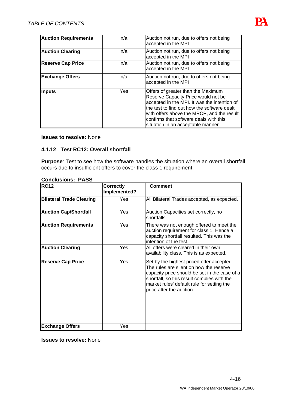<span id="page-28-0"></span>

| <b>Auction Requirements</b> | n/a | Auction not run, due to offers not being<br>accepted in the MPI                                                                                                                                                                                                                                        |
|-----------------------------|-----|--------------------------------------------------------------------------------------------------------------------------------------------------------------------------------------------------------------------------------------------------------------------------------------------------------|
| <b>Auction Clearing</b>     | n/a | Auction not run, due to offers not being<br>accepted in the MPI                                                                                                                                                                                                                                        |
| <b>Reserve Cap Price</b>    | n/a | Auction not run, due to offers not being<br>accepted in the MPI                                                                                                                                                                                                                                        |
| <b>Exchange Offers</b>      | n/a | Auction not run, due to offers not being<br>accepted in the MPI                                                                                                                                                                                                                                        |
| <b>Inputs</b>               | Yes | Offers of greater than the Maximum<br>Reserve Capacity Price would not be<br>accepted in the MPI. It was the intention of<br>the test to find out how the software dealt<br>with offers above the MRCP, and the result<br>confirms that software deals with this<br>situation in an acceptable manner. |

#### **4.1.12 Test RC12: Overall shortfall**

**Purpose**: Test to see how the software handles the situation where an overall shortfall occurs due to insufficient offers to cover the class 1 requirement.

| $\overline{RC12}$               | <b>Correctly</b><br>Implemented? | <b>Comment</b>                                                                                                                                                                                                                                                 |
|---------------------------------|----------------------------------|----------------------------------------------------------------------------------------------------------------------------------------------------------------------------------------------------------------------------------------------------------------|
| <b>Bilateral Trade Clearing</b> | Yes                              | All Bilateral Trades accepted, as expected.                                                                                                                                                                                                                    |
| <b>Auction Cap/Shortfall</b>    | Yes                              | Auction Capacities set correctly, no<br>shortfalls.                                                                                                                                                                                                            |
| <b>Auction Requirements</b>     | Yes                              | There was not enough offered to meet the<br>auction requirement for class 1. Hence a<br>capacity shortfall resulted. This was the<br>intention of the test.                                                                                                    |
| <b>Auction Clearing</b>         | Yes                              | All offers were cleared in their own<br>availability class. This is as expected.                                                                                                                                                                               |
| <b>Reserve Cap Price</b>        | Yes                              | Set by the highest priced offer accepted.<br>The rules are silent on how the reserve<br>capacity price should be set in the case of a<br>shortfall, so this result complies with the<br>market rules' default rule for setting the<br>price after the auction. |
| <b>Exchange Offers</b>          | Yes                              |                                                                                                                                                                                                                                                                |

#### **Conclusions: PASS**

**Issues to resolve:** None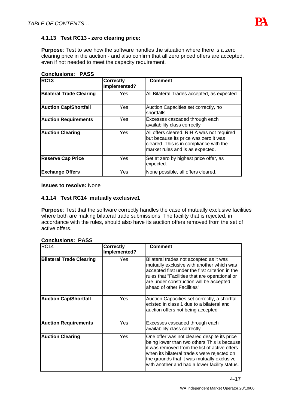<span id="page-29-1"></span><span id="page-29-0"></span>

#### **4.1.13 Test RC13 - zero clearing price:**

**Purpose**: Test to see how the software handles the situation where there is a zero clearing price in the auction - and also confirm that all zero priced offers are accepted, even if not needed to meet the capacity requirement.

| <b>RC13</b>                     | <b>Correctly</b><br>Implemented? | <b>Comment</b>                                                                                                                                                     |
|---------------------------------|----------------------------------|--------------------------------------------------------------------------------------------------------------------------------------------------------------------|
| <b>Bilateral Trade Clearing</b> | Yes.                             | All Bilateral Trades accepted, as expected.                                                                                                                        |
| <b>Auction Cap/Shortfall</b>    | Yes                              | Auction Capacities set correctly, no<br>shortfalls.                                                                                                                |
| <b>Auction Requirements</b>     | Yes                              | Excesses cascaded through each<br>availability class correctly                                                                                                     |
| <b>Auction Clearing</b>         | Yes                              | All offers cleared. RIHIA was not required<br>but because its price was zero it was<br>cleared. This is in compliance with the<br>market rules and is as expected. |
| <b>Reserve Cap Price</b>        | Yes                              | Set at zero by highest price offer, as<br>expected.                                                                                                                |
| <b>Exchange Offers</b>          | Yes                              | None possible, all offers cleared.                                                                                                                                 |

#### **Conclusions: PASS**

**Issues to resolve:** None

#### **4.1.14 Test RC14 mutually exclusive1**

**Purpose**: Test that the software correctly handles the case of mutually exclusive facilities where both are making bilateral trade submissions. The facility that is rejected, in accordance with the rules, should also have its auction offers removed from the set of active offers.

| <b>Conclusions: PASS</b> |
|--------------------------|
|--------------------------|

| <b>RC14</b>                     | <b>Correctly</b><br>Implemented? | <b>Comment</b>                                                                                                                                                                                                                                                                            |
|---------------------------------|----------------------------------|-------------------------------------------------------------------------------------------------------------------------------------------------------------------------------------------------------------------------------------------------------------------------------------------|
| <b>Bilateral Trade Clearing</b> | <b>Yes</b>                       | Bilateral trades not accepted as it was<br>mutually exclusive with another which was<br>accepted first under the first criterion in the<br>rules that "Facilities that are operational or<br>are under construction will be accepted<br>ahead of other Facilities"                        |
| <b>Auction Cap/Shortfall</b>    | Yes                              | Auction Capacities set correctly, a shortfall<br>existed in class 1 due to a bilateral and<br>auction offers not being accepted                                                                                                                                                           |
| <b>Auction Requirements</b>     | Yes                              | Excesses cascaded through each<br>availability class correctly                                                                                                                                                                                                                            |
| <b>Auction Clearing</b>         | Yes                              | One offer was not cleared despite its price<br>being lower than two others This is because<br>it was removed from the list of active offers<br>when its bilateral trade's were rejected on<br>the grounds that it was mutually exclusive<br>with another and had a lower facility status. |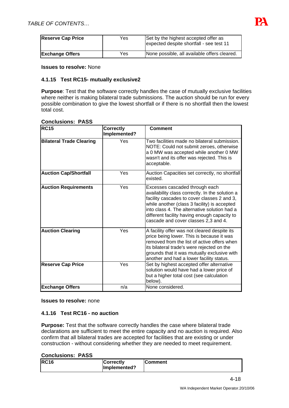<span id="page-30-0"></span>

<span id="page-30-1"></span>

| <b>Reserve Cap Price</b> | Yes | Set by the highest accepted offer as<br>expected despite shortfall - see test 11 |
|--------------------------|-----|----------------------------------------------------------------------------------|
| <b>Exchange Offers</b>   | Yes | None possible, all available offers cleared.                                     |

#### **4.1.15 Test RC15- mutually exclusive2**

**Purpose**: Test that the software correctly handles the case of mutually exclusive facilities where neither is making bilateral trade submissions. The auction should be run for every possible combination to give the lowest shortfall or if there is no shortfall then the lowest total cost.

| <b>RC15</b>                     | <b>Correctly</b><br>Implemented? | Comment                                                                                                                                                                                                                                                                                                                  |
|---------------------------------|----------------------------------|--------------------------------------------------------------------------------------------------------------------------------------------------------------------------------------------------------------------------------------------------------------------------------------------------------------------------|
| <b>Bilateral Trade Clearing</b> | Yes                              | Two facilities made no bilateral submission.<br>NOTE: Could not submit zeroes, otherwise<br>a 0 MW was accepted while another 0 MW<br>wasn't and its offer was rejected. This is<br>acceptable.                                                                                                                          |
| <b>Auction Cap/Shortfall</b>    | Yes                              | Auction Capacities set correctly, no shortfall<br>existed.                                                                                                                                                                                                                                                               |
| <b>Auction Requirements</b>     | Yes                              | Excesses cascaded through each<br>availability class correctly. In the solution a<br>facility cascades to cover classes 2 and 3,<br>while another (class 3 facility) is accepted<br>into class 4. The alternative solution had a<br>different facility having enough capacity to<br>cascade and cover classes 2,3 and 4. |
| <b>Auction Clearing</b>         | Yes                              | A facility offer was not cleared despite its<br>price being lower. This is because it was<br>removed from the list of active offers when<br>its bilateral trade's were rejected on the<br>grounds that it was mutually exclusive with<br>another and had a lower facility status.                                        |
| <b>Reserve Cap Price</b>        | Yes                              | Set by highest accepted offer alternative<br>solution would have had a lower price of<br>but a higher total cost (see calculation<br>below).                                                                                                                                                                             |
| <b>Exchange Offers</b>          | n/a                              | None considered.                                                                                                                                                                                                                                                                                                         |

#### **Conclusions: PASS**

#### **Issues to resolve:** none

#### **4.1.16 Test RC16 - no auction**

**Purpose:** Test that the software correctly handles the case where bilateral trade declarations are sufficient to meet the entire capacity and no auction is required. Also confirm that all bilateral trades are accepted for facilities that are existing or under construction - without considering whether they are needed to meet requirement.

| <b>RC16</b> | <b>Correctly</b><br>Implemented? | <b>Comment</b> |
|-------------|----------------------------------|----------------|
|             |                                  |                |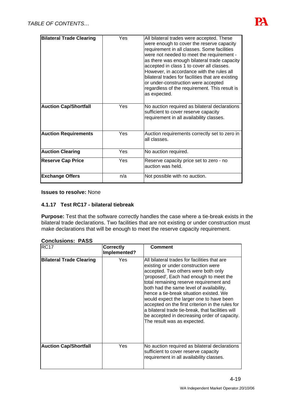| <b>Bilateral Trade Clearing</b> | Yes | All bilateral trades were accepted. These<br>were enough to cover the reserve capacity<br>requirement in all classes. Some facilities<br>were not needed to meet the requirement -<br>as there was enough bilateral trade capacity<br>accepted in class 1 to cover all classes.<br>However, in accordance with the rules all<br>bilateral trades for facilities that are existing<br>or under-construction were accepted<br>regardless of the requirement. This result is<br>as expected. |
|---------------------------------|-----|-------------------------------------------------------------------------------------------------------------------------------------------------------------------------------------------------------------------------------------------------------------------------------------------------------------------------------------------------------------------------------------------------------------------------------------------------------------------------------------------|
| <b>Auction Cap/Shortfall</b>    | Yes | No auction required as bilateral declarations<br>sufficient to cover reserve capacity<br>requirement in all availability classes.                                                                                                                                                                                                                                                                                                                                                         |
| <b>Auction Requirements</b>     | Yes | Auction requirements correctly set to zero in<br>all classes.                                                                                                                                                                                                                                                                                                                                                                                                                             |
| <b>Auction Clearing</b>         | Yes | No auction required.                                                                                                                                                                                                                                                                                                                                                                                                                                                                      |
| <b>Reserve Cap Price</b>        | Yes | Reserve capacity price set to zero - no<br>auction was held.                                                                                                                                                                                                                                                                                                                                                                                                                              |
| <b>Exchange Offers</b>          | n/a | Not possible with no auction.                                                                                                                                                                                                                                                                                                                                                                                                                                                             |

#### **4.1.17 Test RC17 - bilateral tiebreak**

**Purpose:** Test that the software correctly handles the case where a tie-break exists in the bilateral trade declarations. Two facilities that are not existing or under construction must make declarations that will be enough to meet the reserve capacity requirement.

| <b>RC17</b>                     | <b>Correctly</b><br>Implemented? | <b>Comment</b>                                                                                                                                                                                                                                                                                                                                                                                                                                                                                                                             |
|---------------------------------|----------------------------------|--------------------------------------------------------------------------------------------------------------------------------------------------------------------------------------------------------------------------------------------------------------------------------------------------------------------------------------------------------------------------------------------------------------------------------------------------------------------------------------------------------------------------------------------|
| <b>Bilateral Trade Clearing</b> | Yes                              | All bilateral trades for facilities that are<br>existing or under construction were<br>accepted. Two others were both only<br>proposed', Each had enough to meet the<br>total remaining reserve requirement and<br>both had the same level of availability,<br>hence a tie-break situation existed. We<br>would expect the larger one to have been<br>accepted on the first criterion in the rules for<br>a bilateral trade tie-break, that facilities will<br>be accepted in decreasing order of capacity.<br>The result was as expected. |
| <b>Auction Cap/Shortfall</b>    | Yes                              | No auction required as bilateral declarations<br>sufficient to cover reserve capacity<br>requirement in all availability classes.                                                                                                                                                                                                                                                                                                                                                                                                          |

#### **Conclusions: PASS**

<span id="page-31-0"></span>PA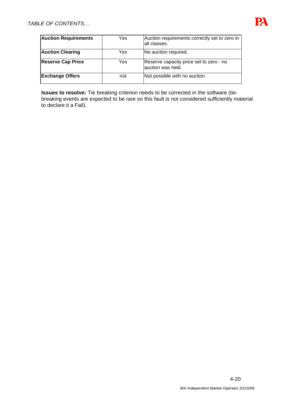

| <b>Auction Requirements</b> | Yes | Auction requirements correctly set to zero in<br>all classes. |
|-----------------------------|-----|---------------------------------------------------------------|
| <b>Auction Clearing</b>     | Yes | No auction required.                                          |
| <b>Reserve Cap Price</b>    | Yes | Reserve capacity price set to zero - no<br>auction was held.  |
| <b>Exchange Offers</b>      | n/a | Not possible with no auction.                                 |

**Issues to resolve:** Tie breaking criterion needs to be corrected in the software (tiebreaking events are expected to be rare so this fault is not considered sufficiently material to declare it a Fail).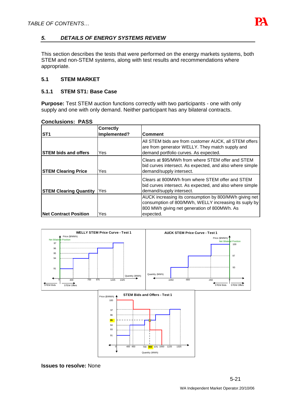#### <span id="page-33-1"></span><span id="page-33-0"></span>*5. DETAILS OF ENERGY SYSTEMS REVIEW*

This section describes the tests that were performed on the energy markets systems, both STEM and non-STEM systems, along with test results and recommendations where appropriate.

#### **5.1 STEM MARKET**

#### **5.1.1 STEM ST1: Base Case**

**Purpose:** Test STEM auction functions correctly with two participants - one with only supply and one with only demand. Neither participant has any bilateral contracts.

| IST1                          | <b>Correctly</b><br>Implemented? | Comment                                                                                                                                                                    |
|-------------------------------|----------------------------------|----------------------------------------------------------------------------------------------------------------------------------------------------------------------------|
| <b>ISTEM bids and offers</b>  | Yes.                             | All STEM bids are from customer AUCK, all STEM offers<br>are from generator WELLY. They match supply and<br>demand portfolio curves. As expected.                          |
| <b>STEM Clearing Price</b>    | Yes                              | Clears at \$95/MWh from where STEM offer and STEM<br>bid curves intersect. As expected, and also where simple<br>demand/supply intersect.                                  |
| <b>STEM Clearing Quantity</b> | Yes                              | Clears at 800MWh from where STEM offer and STEM<br>bid curves intersect. As expected, and also where simple<br>demand/supply intersect.                                    |
| <b>Net Contract Position</b>  | Yes                              | AUCK increasing its consumption by 800/MWh giving net<br>consumption of 800/MWh, WELLY increasing its suply by<br>800 MWh giving net generation of 800MWh. As<br>expected. |

#### **Conclusions: PASS**





**Issues to resolve:** None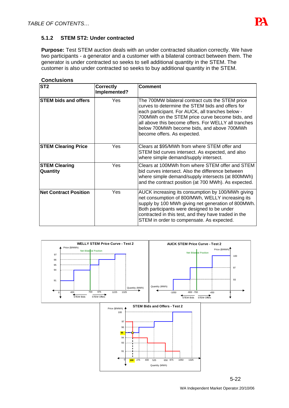#### <span id="page-34-0"></span>**5.1.2 STEM ST2: Under contracted**

**Purpose:** Test STEM auction deals with an under contracted situation correctly. We have two participants - a generator and a customer with a bilateral contract between them. The generator is under contracted so seeks to sell additional quantity in the STEM. The customer is also under contracted so seeks to buy additional quantity in the STEM.

| <b>Conclusions</b> |
|--------------------|
|                    |

| ST <sub>2</sub>                  | <b>Correctly</b><br>Implemented? | <b>Comment</b>                                                                                                                                                                                                                                                                                                                                   |
|----------------------------------|----------------------------------|--------------------------------------------------------------------------------------------------------------------------------------------------------------------------------------------------------------------------------------------------------------------------------------------------------------------------------------------------|
| <b>STEM bids and offers</b>      | Yes                              | The 700MW bilateral contract cuts the STEM price<br>curves to determine the STEM bids and offers for<br>each participant. For AUCK, all tranches below -<br>700MWh on the STEM price curve become bids, and<br>all above this become offers. For WELLY all tranches<br>below 700MWh become bids, and above 700MWh<br>become offers. As expected. |
| <b>STEM Clearing Price</b>       | Yes                              | Clears at \$95/MWh from where STEM offer and<br>STEM bid curves intersect. As expected, and also<br>where simple demand/supply intersect.                                                                                                                                                                                                        |
| <b>STEM Clearing</b><br>Quantity | Yes                              | Clears at 100MWh from where STEM offer and STEM<br>bid curves intersect. Also the difference between<br>where simple demand/supply intersects (at 800MWh)<br>and the contract position (at 700 MWh). As expected.                                                                                                                                |
| <b>Net Contract Position</b>     | Yes                              | AUCK increasing its consumption by 100/MWh giving<br>net consumption of 800/MWh, WELLY increasing its<br>supply by 100 MWh giving net generation of 800MWh.<br>Both participants were designed to be under<br>contracted in this test, and they have traded in the<br>STEM in order to compensate. As expected.                                  |

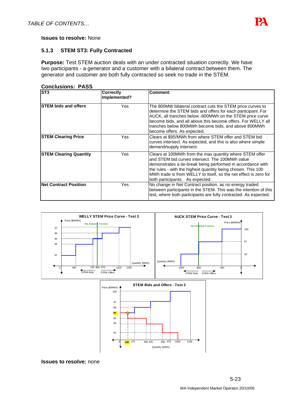#### <span id="page-35-0"></span>**5.1.3 STEM ST3: Fully Contracted**

Purpose: Test STEM auction deals with an under contracted situation correctly. We have two participants - a generator and a customer with a bilateral contract between them. The generator and customer are both fully contracted so seek no trade in the STEM.

| <b>Conclusions: PASS</b> |  |
|--------------------------|--|
|                          |  |

| <b>ST3</b>                    | <b>Correctly</b><br>Implemented? | <b>Comment</b>                                                                                                                                                                                                                                                                                                                                   |
|-------------------------------|----------------------------------|--------------------------------------------------------------------------------------------------------------------------------------------------------------------------------------------------------------------------------------------------------------------------------------------------------------------------------------------------|
| <b>STEM bids and offers</b>   | Yes                              | The 800MW bilateral contract cuts the STEM price curves to<br>determine the STEM bids and offers for each participant. For<br>AUCK, all tranches below -800MWh on the STEM price curve<br>become bids, and all above this become offers. For WELLY all<br>tranches below 800MWh become bids, and above 800MWh<br>become offers. As expected.     |
| <b>STEM Clearing Price</b>    | Yes                              | Clears at \$95/MWh from where STEM offer and STEM bid<br>curves intersect. As expected, and this is also where simple<br>demand/supply intersect.                                                                                                                                                                                                |
| <b>STEM Clearing Quantity</b> | Yes                              | Clears at 100MWh from the max quantity where STEM offer<br>and STEM bid curves intersect. The 100MWh value<br>demonstrates a tie-break being performed in accordance with<br>the rules - with the highest quantity being chosen. This 100<br>MWh trade is from WELLY to itself, so the net effect is zero for<br>both participants. As expected. |
| <b>Net Contract Position</b>  | Yes                              | No change in Net Contract position, as no energy traded<br>between participants in the STEM. This was the intention of this<br>test, where both participants are fully contracted. As expected.                                                                                                                                                  |





**Issues to resolve:** none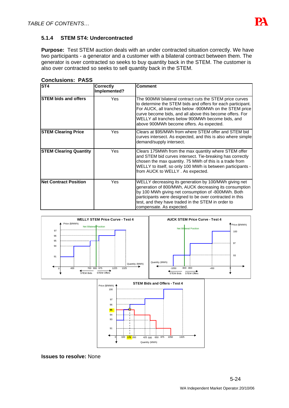#### <span id="page-36-0"></span>**5.1.4 STEM ST4: Undercontracted**

**Purpose:** Test STEM auction deals with an under contracted situation correctly. We have two participants - a generator and a customer with a bilateral contract between them. The generator is over contracted so seeks to buy quantity back in the STEM. The customer is also over contracted so seeks to sell quantity back in the STEM.

| ST <sub>4</sub>               | <b>Correctly</b><br>Implemented? | <b>Comment</b>                                                                                                                                                                                                                                                                                                                               |
|-------------------------------|----------------------------------|----------------------------------------------------------------------------------------------------------------------------------------------------------------------------------------------------------------------------------------------------------------------------------------------------------------------------------------------|
| <b>STEM bids and offers</b>   | Yes                              | The 900MW bilateral contract cuts the STEM price curves<br>to determine the STEM bids and offers for each participant.<br>For AUCK, all tranches below -900MWh on the STEM price<br>curve become bids, and all above this become offers. For<br>WELLY all tranches below 900MWh become bids, and<br>above 900MWh become offers. As expected. |
| <b>STEM Clearing Price</b>    | Yes                              | Clears at \$95/MWh from where STEM offer and STEM bid<br>curves intersect. As expected, and this is also where simple<br>demand/supply intersect.                                                                                                                                                                                            |
| <b>STEM Clearing Quantity</b> | Yes                              | Clears 175MWh from the max quantity where STEM offer<br>and STEM bid curves intersect. Tie-breaking has correctly<br>chosen the max quantity. 75 MWh of this is a trade from<br>WELLY to itself, so only 100 MWh is between participants -<br>from AUCK to WELLY. As expected.                                                               |
| <b>Net Contract Position</b>  | Yes                              | WELLY decreasing its generation by 100/MWh giving net<br>generation of 800/MWh, AUCK decreasing its consumption<br>by 100 MWh giving net consumption of -800MWh. Both<br>participants were designed to be over contracted in this<br>test, and they have traded in the STEM in order to<br>compensate. As expected.                          |

**Conclusions: PASS** 





**Issues to resolve:** None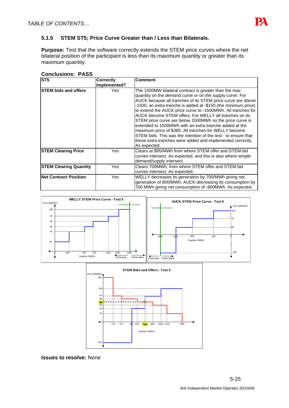#### <span id="page-37-0"></span>**5.1.5 STEM ST5; Price Curve Greater than / Less than Bilaterals.**

**Purpose:** Test that the software correctly extends the STEM price curves where the net bilateral position of the participant is less than its maximum quantity or greater than its maximum quantity.

| ST <sub>5</sub>               | Correctly<br>Implemented? | Comment                                                                                                                                                                                                                                                                                                                                                                                                                                                                                                                                                                                                                                                                                                     |
|-------------------------------|---------------------------|-------------------------------------------------------------------------------------------------------------------------------------------------------------------------------------------------------------------------------------------------------------------------------------------------------------------------------------------------------------------------------------------------------------------------------------------------------------------------------------------------------------------------------------------------------------------------------------------------------------------------------------------------------------------------------------------------------------|
| <b>STEM bids and offers</b>   | Yes                       | The 1500MW bilateral contract is greater than the max<br>quantity on the demand curve or on the supply curve. For<br>AUCK because all tranches of its STEM price curve are above<br>-1500, an extra tranche is added at -\$150 (the minimum price)<br>to extend the AUCK price curve to -1500MWh. All tranches for<br>AUCK become STEM offers. For WELLY all tranches on its<br>STEM price curve are below 1500MWh so the price curve is<br>extended to 1500MWh with an extra tranche added at the<br>maximum price of \$385. All tranches for WELLY become<br>STEM bids. This was the intention of the test - to ensure that<br>these extra tranches were added and implemented correctly.<br>As expected. |
| <b>STEM Clearing Price</b>    | Yes                       | Clears at \$95/MWh from where STEM offer and STEM bid<br>curves intersect. As expected, and this is also where simple<br>demand/supply intersect.                                                                                                                                                                                                                                                                                                                                                                                                                                                                                                                                                           |
| <b>STEM Clearing Quantity</b> | Yes                       | Clears 700MWh, from where STEM offer and STEM bid<br>curves intersect. As expected.                                                                                                                                                                                                                                                                                                                                                                                                                                                                                                                                                                                                                         |
| <b>Net Contract Position</b>  | Yes                       | WELLY decreases its generation by 700/MWh giving net<br>generation of 800/MWh, AUCK decreasing its consumption by<br>700 MWh giving net consumption of -800MWh. As expected.                                                                                                                                                                                                                                                                                                                                                                                                                                                                                                                                |





**Issues to resolve:** None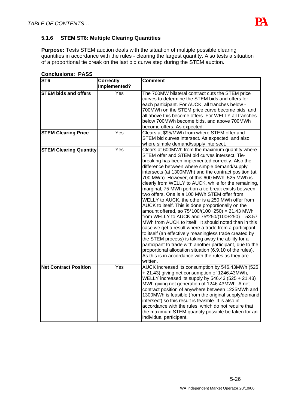#### <span id="page-38-0"></span>**5.1.6 STEM ST6: Multiple Clearing Quantities**

**Purpose:** Tests STEM auction deals with the situation of multiple possible clearing quantities in accordance with the rules - clearing the largest quantity. Also tests a situation of a proportional tie break on the last bid curve step during the STEM auction.

| . הטע<br>ST <sub>6</sub>      | <b>Correctly</b> | <b>Comment</b>                                                                                                                                                                                                                                                                                                                                                                                                                                                                                                                                                                                                                                                                                                                                                                                                                                                                                                                                                                                                                                                                                                                       |
|-------------------------------|------------------|--------------------------------------------------------------------------------------------------------------------------------------------------------------------------------------------------------------------------------------------------------------------------------------------------------------------------------------------------------------------------------------------------------------------------------------------------------------------------------------------------------------------------------------------------------------------------------------------------------------------------------------------------------------------------------------------------------------------------------------------------------------------------------------------------------------------------------------------------------------------------------------------------------------------------------------------------------------------------------------------------------------------------------------------------------------------------------------------------------------------------------------|
|                               | Implemented?     |                                                                                                                                                                                                                                                                                                                                                                                                                                                                                                                                                                                                                                                                                                                                                                                                                                                                                                                                                                                                                                                                                                                                      |
| <b>STEM bids and offers</b>   | Yes              | The 700MW bilateral contract cuts the STEM price<br>curves to determine the STEM bids and offers for<br>each participant. For AUCK, all tranches below -<br>700MWh on the STEM price curve become bids, and<br>all above this become offers. For WELLY all tranches<br>below 700MWh become bids, and above 700MWh<br>become offers. As expected.                                                                                                                                                                                                                                                                                                                                                                                                                                                                                                                                                                                                                                                                                                                                                                                     |
| <b>STEM Clearing Price</b>    | Yes              | Clears at \$95/MWh from where STEM offer and<br>STEM bid curves intersect. As expected, and also<br>where simple demand/supply intersect.                                                                                                                                                                                                                                                                                                                                                                                                                                                                                                                                                                                                                                                                                                                                                                                                                                                                                                                                                                                            |
| <b>STEM Clearing Quantity</b> | Yes              | Clears at 600MWh from the maximum quantity where<br>STEM offer and STEM bid curves intersect. Tie-<br>breaking has been implemented correctly. Also the<br>difference between where simple demand/supply<br>intersects (at 1300MWh) and the contract position (at<br>700 MWh). However, of this 600 MWh, 525 MWh is<br>clearly from WELLY to AUCK, while for the remaining,<br>marginal, 75 MWh portion a tie break exists between<br>two offers. One is a 100 MWh STEM offer from<br>WELLY to AUCK, the other is a 250 MWh offer from<br>AUCK to itself. This is done proportionally on the<br>amount offered, so $75*100/(100+250) = 21.43$ MWh<br>from WELLY to AUCK and $75*250/(100+250) = 53.57$<br>MWh from AUCK to itself. It should noted than in this<br>case we get a result where a trade from a participant<br>to itself (an effectively meaningless trade created by<br>the STEM process) is taking away the ability for a<br>participant to trade with another participant, due to the<br>proportional allocation situation (6.9.10 of the rules).<br>As this is in accordance with the rules as they are<br>written. |
| <b>Net Contract Position</b>  | Yes              | AUCK increased its consumption by 546.43MWh (525<br>+ 21.43) giving net consumption of 1246.43MWh,<br>WELLY increased its supply by $546.43$ (525 + 21.43)<br>MWh giving net generation of 1246.43MWh. A net<br>contract position of anywhere between 1225MWh and<br>1300MWh is feasible (from the original supply/demand<br>intersect) so this result is feasible. It is also in<br>accordance with the rules, which do not require that<br>the maximum STEM quantity possible be taken for an<br>individual participant.                                                                                                                                                                                                                                                                                                                                                                                                                                                                                                                                                                                                           |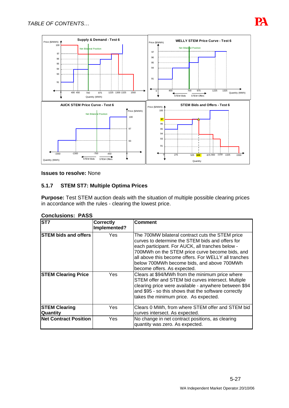<span id="page-39-0"></span>

#### **5.1.7 STEM ST7: Multiple Optima Prices**

**Purpose:** Test STEM auction deals with the situation of multiple possible clearing prices in accordance with the rules - clearing the lowest price.

| Ist7                              | <b>Correctly</b><br>Implemented? | <b>Comment</b>                                                                                                                                                                                                                                                                                                                                   |
|-----------------------------------|----------------------------------|--------------------------------------------------------------------------------------------------------------------------------------------------------------------------------------------------------------------------------------------------------------------------------------------------------------------------------------------------|
| <b>ISTEM bids and offers</b>      | Yes                              | The 700MW bilateral contract cuts the STEM price<br>curves to determine the STEM bids and offers for<br>each participant. For AUCK, all tranches below -<br>700MWh on the STEM price curve become bids, and<br>all above this become offers. For WELLY all tranches<br>below 700MWh become bids, and above 700MWh<br>become offers. As expected. |
| <b>STEM Clearing Price</b>        | Yes                              | Clears at \$94/MWh from the minimum price where<br>STEM offer and STEM bid curves intersect. Multiple<br>clearing price were available - anywhere between \$94<br>and \$95 - so this shows that the software correctly<br>takes the minimum price. As expected.                                                                                  |
| <b>STEM Clearing</b><br>lQuantitv | Yes                              | Clears 0 MWh, from where STEM offer and STEM bid<br>curves intersect. As expected.                                                                                                                                                                                                                                                               |
| <b>Net Contract Position</b>      | Yes                              | No change in net contract positions, as clearing<br>quantity was zero. As expected.                                                                                                                                                                                                                                                              |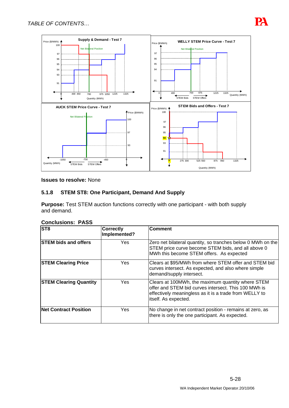

#### **5.1.8 STEM ST8: One Participant, Demand And Supply**

**Purpose:** Test STEM auction functions correctly with one participant - with both supply and demand.

| <b>ST8</b>                    | <b>Correctly</b><br>Implemented? | <b>Comment</b>                                                                                                                                                                              |
|-------------------------------|----------------------------------|---------------------------------------------------------------------------------------------------------------------------------------------------------------------------------------------|
| <b>STEM bids and offers</b>   | Yes                              | Zero net bilateral quantity, so tranches below 0 MWh on the<br>STEM price curve become STEM bids, and all above 0<br>MWh this become STEM offers. As expected                               |
| <b>STEM Clearing Price</b>    | Yes                              | Clears at \$95/MWh from where STEM offer and STEM bid<br>curves intersect. As expected, and also where simple<br>demand/supply intersect.                                                   |
| <b>STEM Clearing Quantity</b> | <b>Yes</b>                       | Clears at 100MWh, the maximum quantity where STEM<br>offer and STEM bid curves intersect. This 100 MWh is<br>effectively meaningless as it is a trade from WELLY to<br>itself. As expected. |
| <b>Net Contract Position</b>  | Yes                              | No change in net contract position - remains at zero, as<br>there is only the one participant. As expected.                                                                                 |

<span id="page-40-0"></span>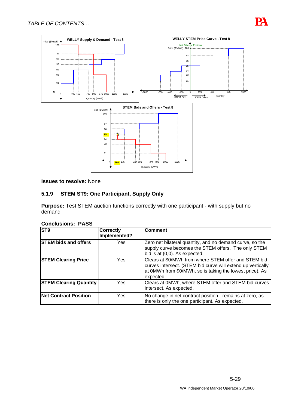<span id="page-41-0"></span>

#### **5.1.9 STEM ST9: One Participant, Supply Only**

**Purpose:** Test STEM auction functions correctly with one participant - with supply but no demand

|  | <b>Conclusions: PASS</b> |
|--|--------------------------|
|  |                          |

| ST <sub>9</sub>               | <b>Correctly</b><br>Implemented? | <b>Comment</b>                                                                                                                                                                               |
|-------------------------------|----------------------------------|----------------------------------------------------------------------------------------------------------------------------------------------------------------------------------------------|
| <b>STEM bids and offers</b>   | Yes                              | Zero net bilateral quantity, and no demand curve, so the<br>supply curve becomes the STEM offers. The only STEM<br>bid is at (0,0). As expected.                                             |
| <b>STEM Clearing Price</b>    | Yes                              | Clears at \$0/MWh from where STEM offer and STEM bid<br>curves intersect. (STEM bid curve will extend up vertically<br>at 0MWh from \$0/MWh, so is taking the lowest price). As<br>expected. |
| <b>STEM Clearing Quantity</b> | Yes                              | Clears at 0MWh, where STEM offer and STEM bid curves<br>intersect. As expected.                                                                                                              |
| <b>Net Contract Position</b>  | Yes                              | No change in net contract position - remains at zero, as<br>there is only the one participant. As expected.                                                                                  |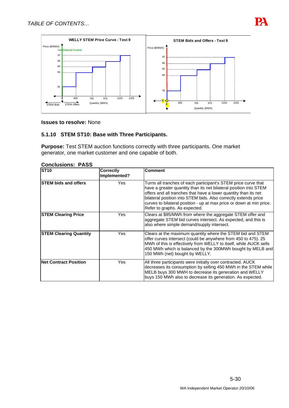<span id="page-42-0"></span>

#### **5.1.10 STEM ST10: Base with Three Participants.**

**Purpose:** Test STEM auction functions correctly with three participants. One market generator, one market customer and one capable of both.

| <b>ST10</b>                   | <b>Correctly</b><br>Implemented? | <b>Comment</b>                                                                                                                                                                                                                                                                                                                                                                     |
|-------------------------------|----------------------------------|------------------------------------------------------------------------------------------------------------------------------------------------------------------------------------------------------------------------------------------------------------------------------------------------------------------------------------------------------------------------------------|
| <b>STEM bids and offers</b>   | <b>Yes</b>                       | Turns all tranches of each participant's STEM price curve that<br>have a greater quantity than its net bilateral position into STEM<br>offers and all tranches that have a lower quantity than its net<br>bilateral position into STEM bids. Also correctly extends price<br>curves to bilateral position - up at max price or down at min price.<br>Refer to graphs. As expected. |
| <b>STEM Clearing Price</b>    | Yes                              | Clears at \$95/MWh from where the aggregate STEM offer and<br>aggregate STEM bid curves intersect. As expected, and this is<br>also where simple demand/supply intersect.                                                                                                                                                                                                          |
| <b>STEM Clearing Quantity</b> | Yes                              | Clears at the maximum quantity where the STEM bid and STEM<br>offer curves intersect (could be anywhere from 450 to 475). 25<br>MWh of this is effectively from WELLY to itself, while AUCK sells<br>450 MWh which is balanced by the 300MWh bought by MELB and<br>150 MWh (net) bought by WELLY.                                                                                  |
| <b>Net Contract Position</b>  | Yes                              | All three participants were initially over contracted. AUCK<br>decreases its consumption by selling 450 MWh in the STEM while<br>MELB buys 300 MWH to decrease its generation and WELLY<br>buys 150 MWh also to decrease its generation. As expected.                                                                                                                              |

| <b>Conclusions: PASS</b> |  |
|--------------------------|--|
|                          |  |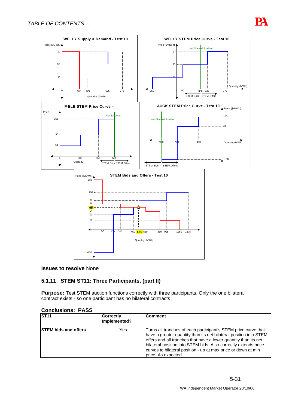<span id="page-43-0"></span>

#### **5.1.11 STEM ST11: Three Participants, (part II)**

**Purpose:** Test STEM auction functions correctly with three participants. Only the one bilateral contract exists - so one participant has no bilateral contracts

| <b>ST11</b>                 | <b>Correctly</b><br>Implemented? | <b>Comment</b>                                                                                                                                                                                                                                                                                                                                                    |
|-----------------------------|----------------------------------|-------------------------------------------------------------------------------------------------------------------------------------------------------------------------------------------------------------------------------------------------------------------------------------------------------------------------------------------------------------------|
| <b>STEM bids and offers</b> | Yes                              | Turns all tranches of each participant's STEM price curve that<br>have a greater quantity than its net bilateral position into STEM<br>offers and all tranches that have a lower quantity than its net<br>bilateral position into STEM bids. Also correctly extends price<br>curves to bilateral position - up at max price or down at min<br>price. As expected. |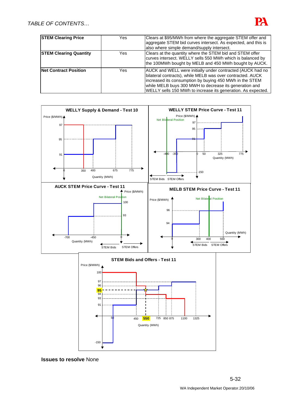| <b>STEM Clearing Price</b>    | Yes  | Clears at \$95/MWh from where the aggregate STEM offer and<br>aggregate STEM bid curves intersect. As expected, and this is<br>also where simple demand/supply intersect.                                                                                                                                     |
|-------------------------------|------|---------------------------------------------------------------------------------------------------------------------------------------------------------------------------------------------------------------------------------------------------------------------------------------------------------------|
| <b>STEM Clearing Quantity</b> | Yes. | Clears at the quantity where the STEM bid and STEM offer<br>curves intersect. WELLY sells 550 MWh which is balanced by<br>the 100MWh bought by MELB and 450 MWh bought by AUCK.                                                                                                                               |
| <b>Net Contract Position</b>  | Yes. | AUCK and WELL were initially under contracted (AUCK had no<br>bilateral contracts), while MELB was over contracted. AUCK<br>increased its consumption by buying 450 MWh in the STEM<br>while MELB buys 300 MWH to decrease its generation and<br>WELLY sells 150 MWh to increase its generation. As expected. |



**Issues to resolve** None

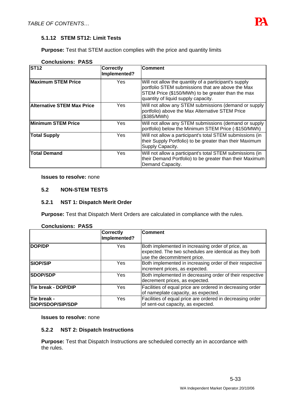#### <span id="page-45-1"></span><span id="page-45-0"></span>**5.1.12 STEM ST12: Limit Tests**

**Purpose:** Test that STEM auction complies with the price and quantity limits

| <b>ST12</b>                       | <b>Correctly</b><br>Implemented? | <b>Comment</b>                                                                                                                                                                                         |
|-----------------------------------|----------------------------------|--------------------------------------------------------------------------------------------------------------------------------------------------------------------------------------------------------|
| <b>Maximum STEM Price</b>         | Yes.                             | Will not allow the quantity of a participant's supply<br>portfolio STEM submissions that are above the Max<br>STEM Price (\$150/MWh) to be greater than the max<br>quantity of liquid supply capacity. |
| <b>Alternative STEM Max Price</b> | Yes                              | Will not allow any STEM submissions (demand or supply<br>portfolio) above the Max Alternative STEM Price<br>(\$385/MWh)                                                                                |
| <b>Minimum STEM Price</b>         | Yes.                             | Will not allow any STEM submissions (demand or supply<br>portfolio) below the Minimum STEM Price (-\$150/MWh)                                                                                          |
| <b>Total Supply</b>               | Yes                              | Will not allow a participant's total STEM submissions (in<br>their Supply Portfolio) to be greater than their Maximum<br>Supply Capacity.                                                              |
| <b>Total Demand</b>               | Yes                              | Will not allow a participant's total STEM submissions (in<br>their Demand Portfolio) to be greater than their Maximum<br>Demand Capacity.                                                              |

#### **Conclusions: PASS**

#### **Issues to resolve:** none

#### **5.2 NON-STEM TESTS**

#### **5.2.1 NST 1: Dispatch Merit Order**

**Purpose:** Test that Dispatch Merit Orders are calculated in compliance with the rules.

#### **Conclusions: PASS**

|                                  | <b>Correctly</b><br>Implemented? | <b>Comment</b>                                                                                                                             |
|----------------------------------|----------------------------------|--------------------------------------------------------------------------------------------------------------------------------------------|
| <b>DOP/DP</b>                    | Yes                              | Both implemented in increasing order of price, as<br>expected. The two schedules are identical as they both<br>use the decommitment price. |
| SIOP/SIP                         | Yes                              | Both implemented in increasing order of their respective<br>increment prices, as expected.                                                 |
| <b>SDOP/SDP</b>                  | Yes                              | Both implemented in decreasing order of their respective<br>decrement prices, as expected.                                                 |
| Tie break - DOP/DIP              | <b>Yes</b>                       | Facilities of equal price are ordered in decreasing order<br>of nameplate capacity, as expected.                                           |
| Tie break -<br>SIOP/SDOP/SIP/SDP | Yes                              | Facilities of equal price are ordered in decreasing order<br>of sent-out capacity, as expected.                                            |

**Issues to resolve:** none

#### **5.2.2 NST 2: Dispatch Instructions**

**Purpose:** Test that Dispatch Instructions are scheduled correctly an in accordance with the rules.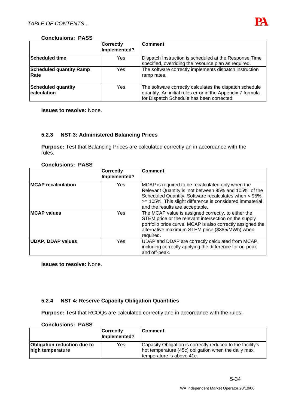

#### **Conclusions: PASS**

|                                          | <b>Correctly</b><br>Implemented? | <b>Comment</b>                                                                                                                                                     |
|------------------------------------------|----------------------------------|--------------------------------------------------------------------------------------------------------------------------------------------------------------------|
| <b>Scheduled time</b>                    | Yes                              | Dispatch Instruction is scheduled at the Response Time<br>specified, overriding the resource plan as required.                                                     |
| <b>Scheduled quantity Ramp</b><br>Rate   | Yes                              | The software correctly implements dispatch instruction<br>ramp rates.                                                                                              |
| <b>Scheduled quantity</b><br>calculation | Yes                              | The software correctly calculates the dispatch schedule<br>quantity. An initial rules error in the Appendix 7 formula<br>for Dispatch Schedule has been corrected. |

**Issues to resolve:** None.

#### **5.2.3 NST 3: Administered Balancing Prices**

**Purpose:** Test that Balancing Prices are calculated correctly an in accordance with the rules.

#### **Conclusions: PASS**

|                            | <b>Correctly</b><br>Implemented? | <b>Comment</b>                                                                                                                                                                                                                                                      |
|----------------------------|----------------------------------|---------------------------------------------------------------------------------------------------------------------------------------------------------------------------------------------------------------------------------------------------------------------|
| <b>IMCAP recalculation</b> | <b>Yes</b>                       | MCAP is required to be recalculated only when the<br>Relevant Quantity is 'not between 95% and 105%' of the<br>Scheduled Quantity. Software recalculates when < 95%,<br>>= 105%. This slight difference is considered immaterial<br>and the results are acceptable. |
| <b>MCAP values</b>         | Yes                              | The MCAP value is assigned correctly, to either the<br>STEM price or the relevant intersection on the supply<br>portfolio price curve. MCAP is also correctly assigned the<br>alternative maximum STEM price (\$385/MWh) when<br>required.                          |
| <b>UDAP, DDAP values</b>   | Yes                              | UDAP and DDAP are correctly calculated from MCAP,<br>including correctly applying the difference for on-peak<br>and off-peak.                                                                                                                                       |

**Issues to resolve:** None.

#### **5.2.4 NST 4: Reserve Capacity Obligation Quantities**

**Purpose:** Test that RCOQs are calculated correctly and in accordance with the rules.

|                                    | <b>Correctly</b><br>Implemented? | <b>Comment</b>                                             |
|------------------------------------|----------------------------------|------------------------------------------------------------|
| <b>Obligation reduction due to</b> | Yes                              | Capacity Obligation is correctly reduced to the facility's |
| high temperature                   |                                  | hot temperature (45c) obligation when the daily max        |
|                                    |                                  | temperature is above 41c.                                  |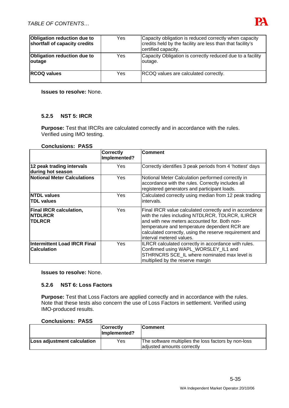<span id="page-47-0"></span>

<span id="page-47-1"></span>

| <b>Obligation reduction due to</b><br>shortfall of capacity credits | Yes | Capacity obligation is reduced correctly when capacity<br>credits held by the facility are less than that facility's<br>certified capacity. |
|---------------------------------------------------------------------|-----|---------------------------------------------------------------------------------------------------------------------------------------------|
| <b>Obligation reduction due to</b><br>outage                        | Yes | Capacity Obligation is correctly reduced due to a facility<br>outage.                                                                       |
| <b>RCOQ values</b>                                                  | Yes | RCOQ values are calculated correctly.                                                                                                       |

#### **5.2.5 NST 5: IRCR**

**Purpose:** Test that IRCRs are calculated correctly and in accordance with the rules. Verified using IMO testing.

#### **Conclusions: PASS**

|                                                                   | <b>Correctly</b><br>Implemented? | <b>Comment</b>                                                                                                                                                                                                                                                                                      |
|-------------------------------------------------------------------|----------------------------------|-----------------------------------------------------------------------------------------------------------------------------------------------------------------------------------------------------------------------------------------------------------------------------------------------------|
| 12 peak trading intervals<br>during hot season                    | Yes.                             | Correctly identifies 3 peak periods from 4 'hottest' days                                                                                                                                                                                                                                           |
| <b>Notional Meter Calculations</b>                                | Yes                              | Notional Meter Calculation performed correctly in<br>accordance with the rules. Correctly includes all<br>registered generators and participant loads.                                                                                                                                              |
| <b>NTDL values</b><br><b>TDL values</b>                           | Yes                              | Calculated correctly using median from 12 peak trading<br>intervals.                                                                                                                                                                                                                                |
| <b>Final IRCR calculation,</b><br><b>NTDLRCR</b><br><b>TDLRCR</b> | Yes                              | Final IRCR value calculated correctly and in accordance<br>with the rules including NTDLRCR, TDLRCR, ILIRCR<br>and with new meters accounted for. Both non-<br>temperature and temperature dependent RCR are<br>calculated correctly, using the reserve requirement and<br>interval metered values. |
| <b>Intermittent Load IRCR Final</b><br><b>Calculation</b>         | <b>Yes</b>                       | ILRCR calculated correctly in accordance with rules.<br>Confirmed using WAPL_WORSLEY_IL1 and<br>STHRNCRS SCE_IL where nominated max level is<br>multiplied by the reserve margin                                                                                                                    |

**Issues to resolve:** None.

#### **5.2.6 NST 6: Loss Factors**

**Purpose:** Test that Loss Factors are applied correctly and in accordance with the rules. Note that these tests also concern the use of Loss Factors in settlement. Verified using IMO-produced results.

|                                    | <b>Correctly</b><br>Implemented? | <b>IComment</b>                                                                    |
|------------------------------------|----------------------------------|------------------------------------------------------------------------------------|
| <b>Loss adjustment calculation</b> | Yes                              | The software multiplies the loss factors by non-loss<br>adjusted amounts correctly |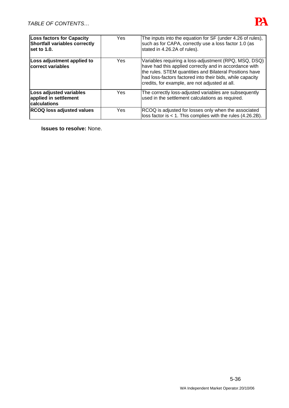

| <b>Loss factors for Capacity</b><br><b>Shortfall variables correctly</b><br>set to 1.0. | <b>Yes</b> | The inputs into the equation for SF (under 4.26 of rules),<br>such as for CAPA, correctly use a loss factor 1.0 (as<br>stated in 4.26.2A of rules).                                                                                                                                       |
|-----------------------------------------------------------------------------------------|------------|-------------------------------------------------------------------------------------------------------------------------------------------------------------------------------------------------------------------------------------------------------------------------------------------|
| Loss adjustment applied to<br>correct variables                                         | Yes        | Variables requiring a loss-adjustment (RPQ, MSQ, DSQ)<br>have had this applied correctly and in accordance with<br>the rules. STEM quantities and Bilateral Positions have<br>had loss-factors factored into their bids, while capacity<br>credits, for example, are not adjusted at all. |
| <b>Loss adjusted variables</b><br>applied in settlement<br>calculations                 | <b>Yes</b> | The correctly loss-adjusted variables are subsequently<br>used in the settlement calculations as required.                                                                                                                                                                                |
| <b>RCOQ loss adjusted values</b>                                                        | Yes        | RCOQ is adjusted for losses only when the associated<br>loss factor is $<$ 1. This complies with the rules (4.26.2B).                                                                                                                                                                     |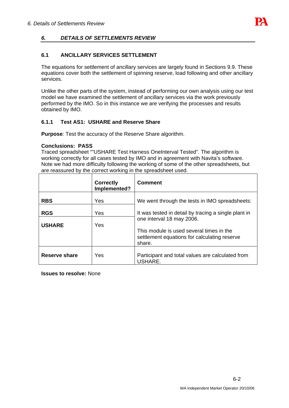

#### <span id="page-49-0"></span>*6. DETAILS OF SETTLEMENTS REVIEW*

#### **6.1 ANCILLARY SERVICES SETTLEMENT**

The equations for settlement of ancillary services are largely found in Sections 9.9. These equations cover both the settlement of spinning reserve, load following and other ancillary services.

Unlike the other parts of the system, instead of performing our own analysis using our test model we have examined the settlement of ancillary services via the work previously performed by the IMO. So in this instance we are verifying the processes and results obtained by IMO.

#### **6.1.1 Test AS1: USHARE and Reserve Share**

**Purpose**: Test the accuracy of the Reserve Share algorithm.

#### **Conclusions: PASS**

Traced spreadsheet ""USHARE Test Harness OneInterval Tested". The algorithm is working correctly for all cases tested by IMO and in agreement with Navita's software. Note we had more difficulty following the working of some of the other spreadsheets, but are reassured by the correct working in the spreadsheet used.

|               | <b>Correctly</b><br>Implemented? | <b>Comment</b>                                                                                                                  |
|---------------|----------------------------------|---------------------------------------------------------------------------------------------------------------------------------|
| <b>RBS</b>    | Yes                              | We went through the tests in IMO spreadsheets:                                                                                  |
| <b>RGS</b>    | Yes                              | It was tested in detail by tracing a single plant in                                                                            |
| <b>USHARE</b> | Yes                              | one interval 18 may 2006.<br>This module is used several times in the<br>settlement equations for calculating reserve<br>share. |
| Reserve share | Yes                              | Participant and total values are calculated from<br>USHARE.                                                                     |

**Issues to resolve:** None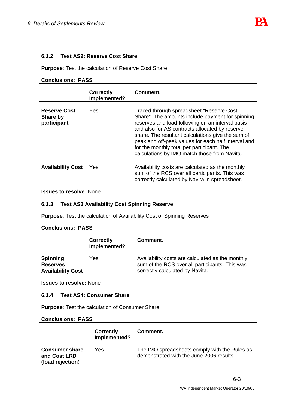#### **6.1.2 Test AS2: Reserve Cost Share**

**Purpose**: Test the calculation of Reserve Cost Share

#### **Conclusions: PASS**

|                                                | <b>Correctly</b><br>Implemented? | Comment.                                                                                                                                                                                                                                                                                                                                                                                                      |
|------------------------------------------------|----------------------------------|---------------------------------------------------------------------------------------------------------------------------------------------------------------------------------------------------------------------------------------------------------------------------------------------------------------------------------------------------------------------------------------------------------------|
| <b>Reserve Cost</b><br>Share by<br>participant | Yes                              | Traced through spreadsheet "Reserve Cost"<br>Share". The amounts include payment for spinning<br>reserves and load following on an interval basis<br>and also for AS contracts allocated by reserve<br>share. The resultant calculations give the sum of<br>peak and off-peak values for each half interval and<br>for the monthly total per participant. The<br>calculations by IMO match those from Navita. |
| <b>Availability Cost</b>                       | Yes                              | Availability costs are calculated as the monthly<br>sum of the RCS over all participants. This was<br>correctly calculated by Navita in spreadsheet.                                                                                                                                                                                                                                                          |

#### **Issues to resolve:** None

#### **6.1.3 Test AS3 Availability Cost Spinning Reserve**

**Purpose**: Test the calculation of Availability Cost of Spinning Reserves

#### **Conclusions: PASS**

|                                                                | <b>Correctly</b><br>Implemented? | Comment.                                                                                                                              |
|----------------------------------------------------------------|----------------------------------|---------------------------------------------------------------------------------------------------------------------------------------|
| <b>Spinning</b><br><b>Reserves</b><br><b>Availability Cost</b> | Yes                              | Availability costs are calculated as the monthly<br>sum of the RCS over all participants. This was<br>correctly calculated by Navita. |

**Issues to resolve:** None

#### **6.1.4 Test AS4: Consumer Share**

**Purpose**: Test the calculation of Consumer Share

|                                                           | <b>Correctly</b><br>Implemented? | Comment.                                                                                  |
|-----------------------------------------------------------|----------------------------------|-------------------------------------------------------------------------------------------|
| <b>Consumer share</b><br>and Cost LRD<br>(load rejection) | Yes                              | The IMO spreadsheets comply with the Rules as<br>demonstrated with the June 2006 results. |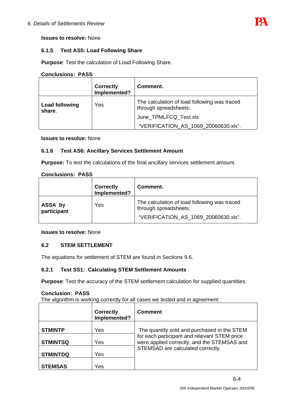#### <span id="page-51-0"></span>**6.1.5 Test AS5: Load Following Share**

**Purpose**: Test the calculation of Load Following Share.

#### **Conclusions: PASS**

|                                 | <b>Correctly</b><br>Implemented? | Comment.                                                              |
|---------------------------------|----------------------------------|-----------------------------------------------------------------------|
| <b>Load following</b><br>share. | Yes                              | The calculation of load following was traced<br>through spreadsheets: |
|                                 |                                  | June TPMLFCQ Test.xls                                                 |
|                                 |                                  | "VERIFICATION_AS_1069_20060630.xls".                                  |

**Issues to resolve:** None

#### **6.1.6 Test AS6: Ancillary Services Settlement Amount**

**Purpose:** To test the calculations of the final ancillary services settlement amount.

| <b>Conclusions: PASS</b> |  |
|--------------------------|--|
|--------------------------|--|

|                               | <b>Correctly</b><br>Implemented? | Comment.                                                              |
|-------------------------------|----------------------------------|-----------------------------------------------------------------------|
| Yes<br>ASSA by<br>participant |                                  | The calculation of load following was traced<br>through spreadsheets. |
|                               |                                  | "VERIFICATION_AS_1069_20060630.xls".                                  |

#### **Issues to resolve:** None

#### **6.2 STEM SETTLEMENT**

The equations for settlement of STEM are found in Sections 9.6.

#### **6.2.1 Test SS1: Calculating STEM Settlement Amounts**

**Purpose**: Test the accuracy of the STEM settlement calculation for supplied quantities.

| The algorithm is working correctly for all cases we tested and in agreement: |                                  |                                                                                             |  |
|------------------------------------------------------------------------------|----------------------------------|---------------------------------------------------------------------------------------------|--|
|                                                                              | <b>Correctly</b><br>Implemented? | <b>Comment</b>                                                                              |  |
| <b>STMINTP</b>                                                               | Yes                              | The quantity sold and purchased in the STEM                                                 |  |
| <b>STMINTSQ</b>                                                              | Yes                              | for each participant and relevant STEM price<br>were applied correctly, and the STEMSAS and |  |
| <b>STMINTDQ</b>                                                              | Yes                              | STEMSAD are calculated correctly.                                                           |  |
| <b>STEMSAS</b>                                                               | Yes                              |                                                                                             |  |

#### **Conclusion: PASS**

The algorithm is working correctly for all cases we tested and in agreement:

6-4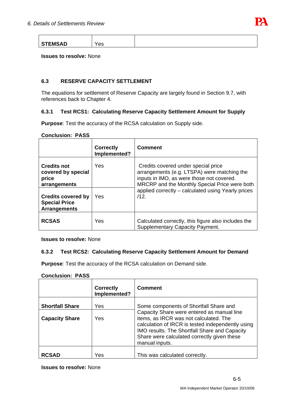

<span id="page-52-0"></span>

| <b>STEMSAD</b> | es' |  |
|----------------|-----|--|

#### **6.3 RESERVE CAPACITY SETTLEMENT**

The equations for settlement of Reserve Capacity are largely found in Section 9.7, with references back to Chapter 4.

#### **6.3.1 Test RCS1: Calculating Reserve Capacity Settlement Amount for Supply**

**Purpose**: Test the accuracy of the RCSA calculation on Supply side.

#### **Conclusion: PASS**

|                                                                          | <b>Correctly</b><br>Implemented? | <b>Comment</b>                                                                                                                                                                   |
|--------------------------------------------------------------------------|----------------------------------|----------------------------------------------------------------------------------------------------------------------------------------------------------------------------------|
| <b>Credits not</b><br>covered by special<br>price<br>arrangements        | Yes                              | Credits covered under special price<br>arrangements (e.g. LTSPA) were matching the<br>inputs in IMO, as were those not covered.<br>MRCRP and the Monthly Special Price were both |
| <b>Credits covered by</b><br><b>Special Price</b><br><b>Arrangements</b> | Yes                              | applied correctly – calculated using Yearly prices<br>/12.                                                                                                                       |
| <b>RCSAS</b>                                                             | Yes                              | Calculated correctly, this figure also includes the<br>Supplementary Capacity Payment.                                                                                           |

**Issues to resolve:** None

#### **6.3.2 Test RCS2: Calculating Reserve Capacity Settlement Amount for Demand**

**Purpose**: Test the accuracy of the RCSA calculation on Demand side.

|                        | <b>Correctly</b><br>Implemented? | <b>Comment</b>                                                                                                                                                                                                                                              |
|------------------------|----------------------------------|-------------------------------------------------------------------------------------------------------------------------------------------------------------------------------------------------------------------------------------------------------------|
| <b>Shortfall Share</b> | Yes                              | Some components of Shortfall Share and                                                                                                                                                                                                                      |
| <b>Capacity Share</b>  | Yes                              | Capacity Share were entered as manual line<br>items, as IRCR was not calculated. The<br>calculation of IRCR is tested independently using<br>IMO results. The Shortfall Share and Capacity<br>Share were calculated correctly given these<br>manual inputs. |
| <b>RCSAD</b>           | Yes                              | This was calculated correctly.                                                                                                                                                                                                                              |

**Conclusion: PASS**

**Issues to resolve:** None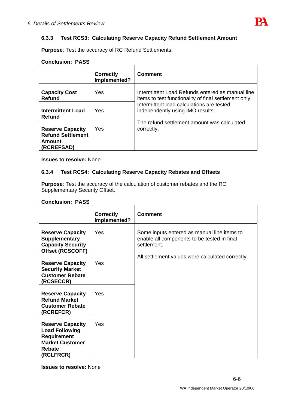#### **6.3.3 Test RCS3: Calculating Reserve Capacity Refund Settlement Amount**

**Purpose**: Test the accuracy of RC Refund Settlements.

|  |  | <b>Conclusion: PASS</b> |  |
|--|--|-------------------------|--|
|--|--|-------------------------|--|

|                                                                             | <b>Correctly</b><br>Implemented? | <b>Comment</b>                                                                                            |
|-----------------------------------------------------------------------------|----------------------------------|-----------------------------------------------------------------------------------------------------------|
| <b>Capacity Cost</b><br><b>Refund</b>                                       | Yes                              | Intermittent Load Refunds entered as manual line<br>items to test functionality of final settlement only. |
| <b>Intermittent Load</b><br><b>Refund</b>                                   | Yes                              | Intermittent load calculations are tested<br>independently using IMO results.                             |
| <b>Reserve Capacity</b><br><b>Refund Settlement</b><br>Amount<br>(RCREFSAD) | Yes                              | The refund settlement amount was calculated<br>correctly.                                                 |

#### **Issues to resolve:** None

#### **6.3.4 Test RCS4: Calculating Reserve Capacity Rebates and Offsets**

**Purpose**: Test the accuracy of the calculation of customer rebates and the RC Supplementary Security Offset.

| <b>Conclusion: PASS</b> |  |
|-------------------------|--|
|                         |  |

|                                                                                                                         | <b>Correctly</b><br>Implemented? | <b>Comment</b>                                                                                            |
|-------------------------------------------------------------------------------------------------------------------------|----------------------------------|-----------------------------------------------------------------------------------------------------------|
| <b>Reserve Capacity</b><br><b>Supplementary</b><br><b>Capacity Security</b><br>Offset (RCSCOFF)                         | Yes                              | Some inputs entered as manual line items to<br>enable all components to be tested in final<br>settlement. |
| <b>Reserve Capacity</b><br><b>Security Market</b><br><b>Customer Rebate</b><br>(RCSECCR)                                | Yes                              | All settlement values were calculated correctly.                                                          |
| <b>Reserve Capacity</b><br><b>Refund Market</b><br><b>Customer Rebate</b><br>(RCREFCR)                                  | Yes                              |                                                                                                           |
| <b>Reserve Capacity</b><br><b>Load Following</b><br><b>Requirement</b><br><b>Market Customer</b><br>Rebate<br>(RCLFRCR) | Yes                              |                                                                                                           |

**Issues to resolve:** None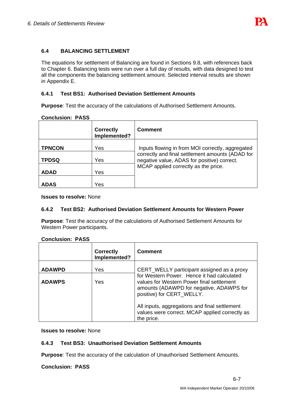

#### <span id="page-54-0"></span>**6.4 BALANCING SETTLEMENT**

The equations for settlement of Balancing are found in Sections 9.8, with references back to Chapter 6. Balancing tests were run over a full day of results, with data designed to test all the components the balancing settlement amount. Selected interval results are shown in Appendix E.

#### **6.4.1 Test BS1: Authorised Deviation Settlement Amounts**

**Purpose**: Test the accuracy of the calculations of Authorised Settlement Amounts.

|               | <b>Correctly</b><br>Implemented? | <b>Comment</b>                                                                                  |
|---------------|----------------------------------|-------------------------------------------------------------------------------------------------|
| <b>TPNCON</b> | Yes                              | Inputs flowing in from MOI correctly, aggregated                                                |
| <b>TPDSQ</b>  | Yes                              | correctly and final settlement amounts (ADAD for<br>negative value, ADAS for positive) correct. |
| <b>ADAD</b>   | Yes                              | MCAP applied correctly as the price.                                                            |
| <b>ADAS</b>   | Yes                              |                                                                                                 |

#### **Conclusion: PASS**

**Issues to resolve:** None

#### **6.4.2 Test BS2: Authorised Deviation Settlement Amounts for Western Power**

**Purpose**: Test the accuracy of the calculations of Authorised Settlement Amounts for Western Power participants.

|               | <b>Correctly</b><br>Implemented? | <b>Comment</b>                                                                                                                                                   |
|---------------|----------------------------------|------------------------------------------------------------------------------------------------------------------------------------------------------------------|
| <b>ADAWPD</b> | Yes                              | CERT_WELLY participant assigned as a proxy                                                                                                                       |
| <b>ADAWPS</b> | Yes                              | for Western Power. Hence it had calculated<br>values for Western Power final settlement<br>amounts (ADAWPD for negative, ADAWPS for<br>positive) for CERT_WELLY. |
|               |                                  | All inputs, aggregations and final settlement<br>values were correct. MCAP applied correctly as<br>the price.                                                    |

#### **Conclusion: PASS**

**Issues to resolve:** None

#### **6.4.3 Test BS3: Unauthorised Deviation Settlement Amounts**

**Purpose**: Test the accuracy of the calculation of Unauthorised Settlement Amounts.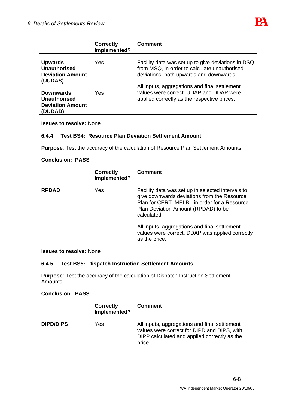

|                                                                               | <b>Correctly</b><br>Implemented? | <b>Comment</b>                                                                                                                                |
|-------------------------------------------------------------------------------|----------------------------------|-----------------------------------------------------------------------------------------------------------------------------------------------|
| <b>Upwards</b><br><b>Unauthorised</b><br><b>Deviation Amount</b><br>(UUDAS)   | Yes                              | Facility data was set up to give deviations in DSQ<br>from MSQ, in order to calculate unauthorised<br>deviations, both upwards and downwards. |
| <b>Downwards</b><br><b>Unauthorised</b><br><b>Deviation Amount</b><br>(DUDAD) | Yes                              | All inputs, aggregations and final settlement<br>values were correct. UDAP and DDAP were<br>applied correctly as the respective prices.       |

#### **6.4.4 Test BS4: Resource Plan Deviation Settlement Amount**

**Purpose**: Test the accuracy of the calculation of Resource Plan Settlement Amounts.

|              | <b>Correctly</b><br>Implemented? | <b>Comment</b>                                                                                                                                                                                         |
|--------------|----------------------------------|--------------------------------------------------------------------------------------------------------------------------------------------------------------------------------------------------------|
| <b>RPDAD</b> | Yes                              | Facility data was set up in selected intervals to<br>give downwards deviations from the Resource<br>Plan for CERT_MELB - in order for a Resource<br>Plan Deviation Amount (RPDAD) to be<br>calculated. |
|              |                                  | All inputs, aggregations and final settlement<br>values were correct. DDAP was applied correctly<br>as the price.                                                                                      |

#### **Conclusion: PASS**

#### **Issues to resolve:** None

#### **6.4.5 Test BS5: Dispatch Instruction Settlement Amounts**

**Purpose**: Test the accuracy of the calculation of Dispatch Instruction Settlement Amounts.

|                  | <b>Correctly</b><br>Implemented? | <b>Comment</b>                                                                                                                                         |
|------------------|----------------------------------|--------------------------------------------------------------------------------------------------------------------------------------------------------|
| <b>DIPD/DIPS</b> | Yes                              | All inputs, aggregations and final settlement<br>values were correct for DIPD and DIPS, with<br>DIPP calculated and applied correctly as the<br>price. |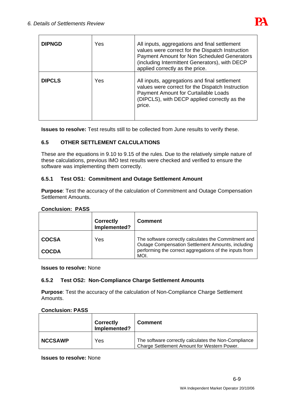

<span id="page-56-0"></span>

| <b>DIPNGD</b> | Yes | All inputs, aggregations and final settlement<br>values were correct for the Dispatch Instruction<br>Payment Amount for Non Scheduled Generators<br>(including Intermittent Generators), with DECP<br>applied correctly as the price. |
|---------------|-----|---------------------------------------------------------------------------------------------------------------------------------------------------------------------------------------------------------------------------------------|
| <b>DIPCLS</b> | Yes | All inputs, aggregations and final settlement<br>values were correct for the Dispatch Instruction<br>Payment Amount for Curtailable Loads<br>(DIPCLS), with DECP applied correctly as the<br>price.                                   |

**Issues to resolve:** Test results still to be collected from June results to verify these.

#### **6.5 OTHER SETTLEMENT CALCULATIONS**

These are the equations in 9.10 to 9.15 of the rules. Due to the relatively simple nature of these calculations, previous IMO test results were checked and verified to ensure the software was implementing them correctly.

#### **6.5.1 Test OS1: Commitment and Outage Settlement Amount**

**Purpose**: Test the accuracy of the calculation of Commitment and Outage Compensation Settlement Amounts.

#### **Conclusion: PASS**

|              | <b>Correctly</b><br>Implemented? | <b>Comment</b>                                                                                            |
|--------------|----------------------------------|-----------------------------------------------------------------------------------------------------------|
| <b>COCSA</b> | Yes                              | The software correctly calculates the Commitment and<br>Outage Compensation Settlement Amounts, including |
| <b>COCDA</b> |                                  | performing the correct aggregations of the inputs from<br>MOI.                                            |

#### **Issues to resolve:** None

#### **6.5.2 Test OS2: Non-Compliance Charge Settlement Amounts**

**Purpose**: Test the accuracy of the calculation of Non-Compliance Charge Settlement Amounts.

#### **Conclusion: PASS**

|                | <b>Correctly</b><br>Implemented? | <b>Comment</b>                                                                                      |
|----------------|----------------------------------|-----------------------------------------------------------------------------------------------------|
| <b>NCCSAWP</b> | Yes                              | The software correctly calculates the Non-Compliance<br>Charge Settlement Amount for Western Power. |

**Issues to resolve:** None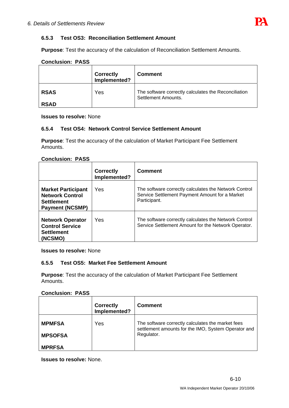#### **6.5.3 Test OS3: Reconciliation Settlement Amount**

**Purpose**: Test the accuracy of the calculation of Reconciliation Settlement Amounts.

| OUNUUSIUN. TAUU |                                  |                                                                             |
|-----------------|----------------------------------|-----------------------------------------------------------------------------|
|                 | <b>Correctly</b><br>Implemented? | <b>Comment</b>                                                              |
| <b>RSAS</b>     | Yes                              | The software correctly calculates the Reconciliation<br>Settlement Amounts. |
| <b>RSAD</b>     |                                  |                                                                             |

#### **Conclusion: PASS**

#### **Issues to resolve:** None

#### **6.5.4 Test OS4: Network Control Service Settlement Amount**

**Purpose**: Test the accuracy of the calculation of Market Participant Fee Settlement Amounts.

#### **Conclusion: PASS**

|                                                                                                    | <b>Correctly</b><br>Implemented? | <b>Comment</b>                                                                                                          |
|----------------------------------------------------------------------------------------------------|----------------------------------|-------------------------------------------------------------------------------------------------------------------------|
| <b>Market Participant</b><br><b>Network Control</b><br><b>Settlement</b><br><b>Payment (NCSMP)</b> | Yes                              | The software correctly calculates the Network Control<br>Service Settlement Payment Amount for a Market<br>Participant. |
| <b>Network Operator</b><br><b>Control Service</b><br><b>Settlement</b><br>(NCSMO)                  | Yes                              | The software correctly calculates the Network Control<br>Service Settlement Amount for the Network Operator.            |

#### **Issues to resolve:** None

#### **6.5.5 Test OS5: Market Fee Settlement Amount**

**Purpose**: Test the accuracy of the calculation of Market Participant Fee Settlement Amounts.

#### **Conclusion: PASS**

|                                 | <b>Correctly</b><br>Implemented? | <b>Comment</b>                                                                                                         |
|---------------------------------|----------------------------------|------------------------------------------------------------------------------------------------------------------------|
| <b>MPMFSA</b><br><b>MPSOFSA</b> | Yes                              | The software correctly calculates the market fees<br>settlement amounts for the IMO, System Operator and<br>Regulator. |
| <b>MPRFSA</b>                   |                                  |                                                                                                                        |

**Issues to resolve:** None.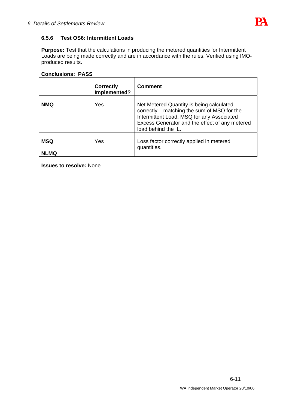#### <span id="page-58-0"></span>**6.5.6 Test OS6: Intermittent Loads**

**Purpose:** Test that the calculations in producing the metered quantities for Intermittent Loads are being made correctly and are in accordance with the rules. Verified using IMOproduced results.

|                           | <b>Correctly</b><br>Implemented? | <b>Comment</b>                                                                                                                                                                                                |
|---------------------------|----------------------------------|---------------------------------------------------------------------------------------------------------------------------------------------------------------------------------------------------------------|
| <b>NMQ</b>                | Yes                              | Net Metered Quantity is being calculated<br>correctly – matching the sum of MSQ for the<br>Intermittent Load, MSQ for any Associated<br>Excess Generator and the effect of any metered<br>load behind the IL. |
| <b>MSQ</b><br><b>NLMQ</b> | Yes                              | Loss factor correctly applied in metered<br>quantities.                                                                                                                                                       |

#### **Conclusions: PASS**

**Issues to resolve:** None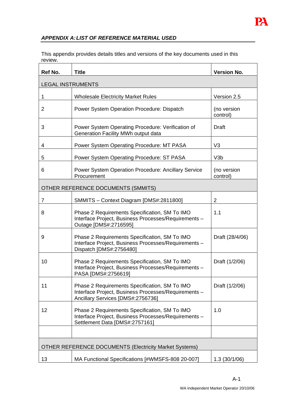#### *APPENDIX A: LIST OF REFERENCE MATERIAL USED*

This appendix provides details titles and versions of the key documents used in this review.

| Ref No.                  | <b>Title</b>                                                                                                                               | <b>Version No.</b>      |
|--------------------------|--------------------------------------------------------------------------------------------------------------------------------------------|-------------------------|
| <b>LEGAL INSTRUMENTS</b> |                                                                                                                                            |                         |
| 1                        | <b>Wholesale Electricity Market Rules</b>                                                                                                  | Version 2.5             |
| 2                        | Power System Operation Procedure: Dispatch                                                                                                 | (no version<br>control) |
| 3                        | Power System Operating Procedure: Verification of<br>Generation Facility MWh output data                                                   | Draft                   |
| 4                        | <b>Power System Operating Procedure: MT PASA</b>                                                                                           | V <sub>3</sub>          |
| 5                        | <b>Power System Operating Procedure: ST PASA</b>                                                                                           | V <sub>3</sub> b        |
| 6                        | <b>Power System Operation Procedure: Ancillary Service</b><br>Procurement                                                                  | (no version<br>control) |
|                          | OTHER REFERENCE DOCUMENTS (SMMITS)                                                                                                         |                         |
| 7                        | SMMITS - Context Diagram [DMS#:2811800]                                                                                                    | $\overline{2}$          |
| 8                        | Phase 2 Requirements Specification, SM To IMO<br>Interface Project, Business Processes/Requirements -<br>Outage [DMS#:2716595]             | 1.1                     |
| 9                        | Phase 2 Requirements Specification, SM To IMO<br>Interface Project, Business Processes/Requirements -<br>Dispatch [DMS#:2756480]           | Draft (28/4/06)         |
| 10                       | Phase 2 Requirements Specification, SM To IMO<br>Interface Project, Business Processes/Requirements -<br>PASA [DMS#:2756619]               | Draft (1/2/06)          |
| 11                       | Phase 2 Requirements Specification, SM To IMO<br>Interface Project, Business Processes/Requirements -<br>Ancillary Services [DMS#:2756736] | Draft (1/2/06)          |
| 12                       | Phase 2 Requirements Specification, SM To IMO<br>Interface Project, Business Processes/Requirements -<br>Settlement Data [DMS#:2757161]    | 1.0                     |
|                          |                                                                                                                                            |                         |
|                          | <b>OTHER REFERENCE DOCUMENTS (Electricity Market Systems)</b>                                                                              |                         |
| 13                       | MA Functional Specifications [#WMSFS-808 20-007]                                                                                           | 1.3 (30/1/06)           |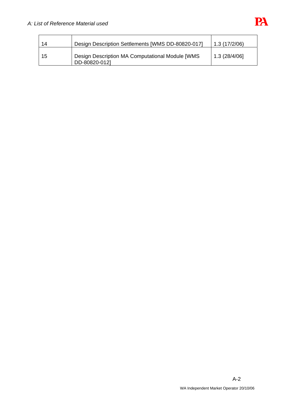

| 14 | Design Description Settlements [WMS DD-80820-017]                | 1.3(17/2/06) |
|----|------------------------------------------------------------------|--------------|
| 15 | Design Description MA Computational Module [WMS<br>DD-80820-012] | 1.3(28/4/06) |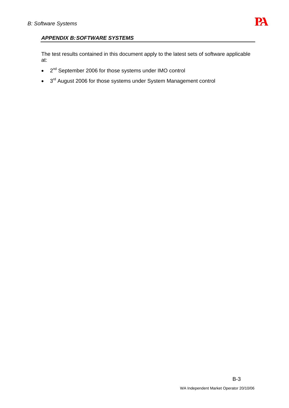#### *APPENDIX B: SOFTWARE SYSTEMS*

The test results contained in this document apply to the latest sets of software applicable at:

- 2<sup>nd</sup> September 2006 for those systems under IMO control
- 3<sup>rd</sup> August 2006 for those systems under System Management control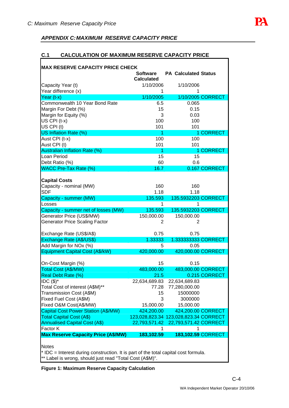#### *APPENDIX C: MAXIMUM RESERVE CAPACITY PRICE*

### **C.1 CALCULATION OF MAXIMUM RESERVE CAPACITY PRICE**

| <b>IMAX RESERVE CAPACITY PRICE CHECK</b>                                 |                                       |                             |                                                                                                                  |  |  |  |  |  |  |  |  |  |  |
|--------------------------------------------------------------------------|---------------------------------------|-----------------------------|------------------------------------------------------------------------------------------------------------------|--|--|--|--|--|--|--|--|--|--|
|                                                                          | <b>Software</b><br><b>Calculated</b>  | <b>PA Calculated Status</b> |                                                                                                                  |  |  |  |  |  |  |  |  |  |  |
| Capacity Year (t)                                                        | 1/10/2006                             | 1/10/2006                   |                                                                                                                  |  |  |  |  |  |  |  |  |  |  |
| Year difference (x)                                                      | 1                                     | 1                           |                                                                                                                  |  |  |  |  |  |  |  |  |  |  |
| Year (t-x)                                                               | 1/10/2005                             |                             | 1/10/2005 CORRECT                                                                                                |  |  |  |  |  |  |  |  |  |  |
| Commonwealth 10 Year Bond Rate                                           | 6.5                                   | 0.065                       |                                                                                                                  |  |  |  |  |  |  |  |  |  |  |
| Margin For Debt (%)                                                      | 15                                    | 0.15                        |                                                                                                                  |  |  |  |  |  |  |  |  |  |  |
| Margin for Equity (%)                                                    | 3                                     | 0.03                        |                                                                                                                  |  |  |  |  |  |  |  |  |  |  |
| US CPI (t-x)                                                             | 100                                   | 100                         |                                                                                                                  |  |  |  |  |  |  |  |  |  |  |
| US CPI (t)                                                               | 101                                   | 101                         |                                                                                                                  |  |  |  |  |  |  |  |  |  |  |
| US Inflation Rate (%)                                                    | 1                                     |                             | <b>1 CORRECT</b>                                                                                                 |  |  |  |  |  |  |  |  |  |  |
| Aust CPI (t-x)                                                           | 100                                   | 100                         |                                                                                                                  |  |  |  |  |  |  |  |  |  |  |
| Aust CPI (t)                                                             | 101                                   | 101                         |                                                                                                                  |  |  |  |  |  |  |  |  |  |  |
| <b>Australian Inflation Rate (%)</b>                                     | 1                                     |                             | 1 CORRECT                                                                                                        |  |  |  |  |  |  |  |  |  |  |
| <b>Loan Period</b>                                                       | 15                                    | 15                          |                                                                                                                  |  |  |  |  |  |  |  |  |  |  |
|                                                                          |                                       |                             |                                                                                                                  |  |  |  |  |  |  |  |  |  |  |
| Debt Ratio (%)                                                           | 60                                    | 0.6                         |                                                                                                                  |  |  |  |  |  |  |  |  |  |  |
| <b>WACC Pre-Tax Rate (%)</b>                                             | 16.7                                  |                             | 0.167 CORRECT                                                                                                    |  |  |  |  |  |  |  |  |  |  |
| <b>Capital Costs</b>                                                     |                                       |                             |                                                                                                                  |  |  |  |  |  |  |  |  |  |  |
| Capacity - nominal (MW)                                                  | 160                                   | 160                         |                                                                                                                  |  |  |  |  |  |  |  |  |  |  |
| <b>SDF</b>                                                               | 1.18                                  | 1.18                        |                                                                                                                  |  |  |  |  |  |  |  |  |  |  |
| Capacity - summer (MW)                                                   | 135.593                               | 135.5932203 CORRECT         |                                                                                                                  |  |  |  |  |  |  |  |  |  |  |
| Losses                                                                   | 1                                     | 1                           |                                                                                                                  |  |  |  |  |  |  |  |  |  |  |
| Capacity - summer net of losses (MW)                                     | 135.593                               | 135.5932203 CORRECT         |                                                                                                                  |  |  |  |  |  |  |  |  |  |  |
| Generator Price (US\$/MW)                                                | 150,000.00                            | 150,000.00                  |                                                                                                                  |  |  |  |  |  |  |  |  |  |  |
| <b>Generator Price Scaling Factor</b>                                    | 2                                     | 2                           |                                                                                                                  |  |  |  |  |  |  |  |  |  |  |
| Exchange Rate (US\$/A\$)                                                 | 0.75                                  | 0.75                        |                                                                                                                  |  |  |  |  |  |  |  |  |  |  |
| Exchange Rate (A\$/US\$)                                                 | 1.33333                               | 1.333333333 CORRECT         |                                                                                                                  |  |  |  |  |  |  |  |  |  |  |
| Add Margin for NOx (%)                                                   | 5                                     | 0.05                        |                                                                                                                  |  |  |  |  |  |  |  |  |  |  |
| Equipment Capital Cost (A\$/kW)                                          | 420,000.00                            | 420,000.00 CORRECT          |                                                                                                                  |  |  |  |  |  |  |  |  |  |  |
| On-Cost Margin (%)                                                       | 15                                    | 0.15                        |                                                                                                                  |  |  |  |  |  |  |  |  |  |  |
| Total Cost (A\$/MW)                                                      | 483,000.00                            | 483,000.00 CORRECT          |                                                                                                                  |  |  |  |  |  |  |  |  |  |  |
| <b>Real Debt Rate (%)</b>                                                | 21.5                                  |                             | 0.215 CORRECT                                                                                                    |  |  |  |  |  |  |  |  |  |  |
| IDC $($ \$)*                                                             | 22,634,689.83                         | 22,634,689.83               |                                                                                                                  |  |  |  |  |  |  |  |  |  |  |
| Total Cost of interest (A\$M)**                                          | 77.28                                 | 77,280,000.00               |                                                                                                                  |  |  |  |  |  |  |  |  |  |  |
| Transmission Cost (A\$M)                                                 | 15                                    | 15000000                    |                                                                                                                  |  |  |  |  |  |  |  |  |  |  |
| Fixed Fuel Cost (A\$M)                                                   | 3                                     | 3000000                     |                                                                                                                  |  |  |  |  |  |  |  |  |  |  |
| Fixed O&M Cost(A\$/MW)                                                   | 15,000.00                             | 15,000.00                   |                                                                                                                  |  |  |  |  |  |  |  |  |  |  |
| <b>Capital Cost Power Station (A\$/MW)</b>                               | 424,200.00                            | 424,200.00 CORRECT          |                                                                                                                  |  |  |  |  |  |  |  |  |  |  |
| <b>Total Capital Cost (A\$)</b>                                          | 123,028,823.34 123,028,823.34 CORRECT |                             |                                                                                                                  |  |  |  |  |  |  |  |  |  |  |
|                                                                          | 22,793,571.42                         |                             |                                                                                                                  |  |  |  |  |  |  |  |  |  |  |
| <b>Annualised Capital Cost (A\$)</b>                                     |                                       | 22,793,571.42 CORRECT       |                                                                                                                  |  |  |  |  |  |  |  |  |  |  |
| Factor K                                                                 | 1                                     | 1                           |                                                                                                                  |  |  |  |  |  |  |  |  |  |  |
| <b>Max Reserve Capacity Price (A\$/MW)</b>                               | 183,102.59                            |                             |                                                                                                                  |  |  |  |  |  |  |  |  |  |  |
| <b>Notes</b><br>** Label is wrong, should just read "Total Cost (A\$M)". |                                       |                             | <b>183,102.59 CORRECT</b><br>* IDC = Interest during construction. It is part of the total capital cost formula. |  |  |  |  |  |  |  |  |  |  |

**Figure 1: Maximum Reserve Capacity Calculation**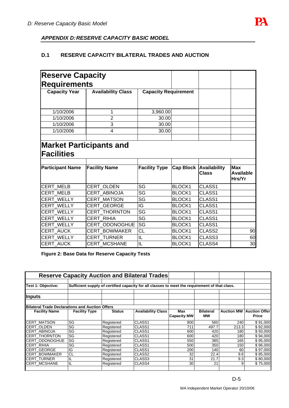#### *APPENDIX D: RESERVE CAPACITY BASIC MODEL*

#### **D.1 RESERVE CAPACITY BILATERAL TRADES AND AUCTION**

| <b>Reserve Capacity</b> |                                |                             |                    |                                     |                                          |
|-------------------------|--------------------------------|-----------------------------|--------------------|-------------------------------------|------------------------------------------|
| <b>Requirements</b>     |                                |                             |                    |                                     |                                          |
| <b>Capacity Year</b>    | <b>Availability Class</b>      | <b>Capacity Requirement</b> |                    |                                     |                                          |
|                         |                                |                             |                    |                                     |                                          |
| 1/10/2006               | 1                              | 3,960.00                    |                    |                                     |                                          |
| 1/10/2006               | 2                              | 30.00                       |                    |                                     |                                          |
| 1/10/2006               | 3                              | 30.00                       |                    |                                     |                                          |
| 1/10/2006               | 4                              | 30.00                       |                    |                                     |                                          |
|                         |                                |                             |                    |                                     |                                          |
|                         | <b>Market Participants and</b> |                             |                    |                                     |                                          |
| <b>Facilities</b>       |                                |                             |                    |                                     |                                          |
|                         |                                |                             |                    |                                     |                                          |
| <b>Participant Name</b> | <b>Facility Name</b>           | <b>Facility Type</b>        | <b>Cap Block</b>   | <b>Availability</b><br><b>Class</b> | <b>Max</b><br><b>Available</b><br>Hrs/Yr |
| <b>CERT MELB</b>        | CERT OLDEN                     | SG                          | BLOCK1             | CLASS1                              |                                          |
| <b>CERT MELB</b>        | <b>CERT ABINOJA</b>            | SG                          | BLOCK1             | CLASS1                              |                                          |
| <b>CERT WELLY</b>       | <b>CERT MATSON</b>             | SG                          | BLOCK1             | CLASS1                              |                                          |
| <b>CERT WELLY</b>       | <b>CERT GEORGE</b>             | $\overline{G}$              | BLOCK1             | CLASS1                              |                                          |
| <b>CERT WELLY</b>       | <b>CERT THORNTON</b>           | SG                          | BLOCK1             | CLASS1                              |                                          |
| <b>CERT WELLY</b>       | <b>CERT RIHIA</b>              | SG                          | <b>BLOCK1</b>      | CLASS1                              |                                          |
| <b>CERT WELLY</b>       | <b>CERT ODONOGHUE</b>          | $\overline{\text{SG}}$      | <b>BLOCK1</b>      | CLASS1                              |                                          |
| <b>CERT AUCK</b>        | <b>CERT BOWMAKER</b>           | <b>CL</b>                   | BLOCK1             | CLASS2                              | 90                                       |
| CERT_WELLY              | <b>CERT TURNER</b>             | IL                          | BLOCK1             | CLASS3                              | 60                                       |
| CERT_AUCK               | <b>CERT MCSHANE</b>            | IL                          | BLOCK <sub>1</sub> | CLASS4                              | 30                                       |

**Figure 2: Base Data for Reserve Capacity Tests** 

| <b>Reserve Capacity Auction and Bilateral Trades</b>                                                                 |                      |               |                           |                           |                        |                   |                                      |  |  |  |  |  |
|----------------------------------------------------------------------------------------------------------------------|----------------------|---------------|---------------------------|---------------------------|------------------------|-------------------|--------------------------------------|--|--|--|--|--|
| Test 1: Objective:<br>Sufficient supply of certified capacity for all classes to meet the requirement of that class. |                      |               |                           |                           |                        |                   |                                      |  |  |  |  |  |
| <b>Inputs</b>                                                                                                        |                      |               |                           |                           |                        |                   |                                      |  |  |  |  |  |
| <b>Bilateral Trade Declarations and Auction Offers</b>                                                               |                      |               |                           |                           |                        |                   |                                      |  |  |  |  |  |
| <b>Facility Name</b>                                                                                                 | <b>Facility Type</b> | <b>Status</b> | <b>Availability Class</b> | Max<br><b>Capacity MW</b> | <b>Bilateral</b><br>МW | <b>Auction MW</b> | <b>Auction Offer</b><br><b>Price</b> |  |  |  |  |  |
| <b>CERT MATSON</b>                                                                                                   | SG                   | Registered    | CLASS1                    | 800                       | 560                    | 240               | \$91,000                             |  |  |  |  |  |
| <b>CERT OLDEN</b>                                                                                                    | SG                   | Registered    | CLASS1                    | 711                       | 497.7                  | 213.3             | \$92,000                             |  |  |  |  |  |
| <b>CERT ABINOJA</b>                                                                                                  | SG                   | Registered    | CLASS <sub>1</sub>        | 600                       | 420                    | 180               | \$93,000                             |  |  |  |  |  |
| <b>CERT THORNTON</b>                                                                                                 | SG                   | Registered    | CLASS <sub>1</sub>        | 600                       | 420                    | 180               | \$94,000                             |  |  |  |  |  |
| <b>CERT ODONOGHUE</b>                                                                                                | SG                   | Registered    | CLASS <sub>1</sub>        | 550                       | 385                    | 165               | \$95,000                             |  |  |  |  |  |
| <b>CERT RIHIA</b>                                                                                                    | SG                   | Registered    | CLASS <sub>1</sub>        | 500                       | 350                    | 150               | \$96,000                             |  |  |  |  |  |
| <b>CERT GEORGE</b>                                                                                                   | IG                   | Registered    | CLASS1                    | 200                       | 140                    | 60                | \$97,000                             |  |  |  |  |  |
| <b>CERT BOWMAKER</b>                                                                                                 | <b>CL</b>            | Registered    | CLASS <sub>2</sub>        | 32                        | 22.4                   | 9.6               | \$85,000                             |  |  |  |  |  |
| <b>CERT TURNER</b>                                                                                                   | IL                   | Registered    | CLASS3                    | 31                        | 21.7                   | 9.3               | \$80,000                             |  |  |  |  |  |
| <b>CERT MCSHANE</b>                                                                                                  | IL                   | Registered    | CLASS4                    | 30                        | 21                     | 9                 | \$75,000                             |  |  |  |  |  |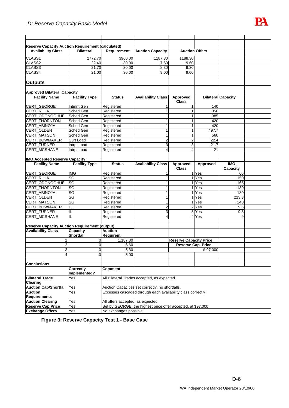

| <b>Reserve Capacity Auction Requirement (calculated)</b><br><b>Availability Class</b> | <b>Bilateral</b>          | Requirement                                      | <b>Auction Capacity</b>                                                               | <b>Auction Offers</b>         |          |                           |  |  |  |  |  |
|---------------------------------------------------------------------------------------|---------------------------|--------------------------------------------------|---------------------------------------------------------------------------------------|-------------------------------|----------|---------------------------|--|--|--|--|--|
| CLASS1                                                                                | 2772.70                   | 3960.00                                          | 1187.30                                                                               | 1188.30                       |          |                           |  |  |  |  |  |
| CLASS2                                                                                | 22.40                     | 30.00                                            | 7.60                                                                                  | 9.60                          |          |                           |  |  |  |  |  |
| CLASS3                                                                                | 21.70                     | 30.00                                            | 8.30                                                                                  | 9.30                          |          |                           |  |  |  |  |  |
| CLASS4                                                                                | 21.00                     | 30.00                                            | 9.00                                                                                  | 9.00                          |          |                           |  |  |  |  |  |
|                                                                                       |                           |                                                  |                                                                                       |                               |          |                           |  |  |  |  |  |
| <b>Outputs</b>                                                                        |                           |                                                  |                                                                                       |                               |          |                           |  |  |  |  |  |
| <b>Approved Bilateral Capacity</b>                                                    |                           |                                                  |                                                                                       |                               |          |                           |  |  |  |  |  |
| <b>Facility Name</b>                                                                  | <b>Facility Type</b>      | <b>Status</b>                                    | <b>Availability Class</b>                                                             | Approved                      |          | <b>Bilateral Capacity</b> |  |  |  |  |  |
|                                                                                       |                           |                                                  |                                                                                       | <b>Class</b>                  |          |                           |  |  |  |  |  |
| CERT_GEORGE                                                                           | Intmnt Gen                | Registered                                       | 1                                                                                     | $\mathbf{1}$                  | 140      |                           |  |  |  |  |  |
| CERT_RIHIA                                                                            | Sched Gen                 | Registered                                       | $\mathbf{1}$                                                                          | $\mathbf{1}$                  | 350      |                           |  |  |  |  |  |
| <b>CERT ODONOGHUE</b>                                                                 | Sched Gen                 | Registered                                       | 1                                                                                     | $\mathbf{1}$                  | 385      |                           |  |  |  |  |  |
| CERT_THORNTON                                                                         | Sched Gen                 | Registered                                       | $\mathbf{1}$                                                                          | $\mathbf{1}$                  | 420      |                           |  |  |  |  |  |
| CERT ABINOJA                                                                          | Sched Gen                 | Registered                                       | 1                                                                                     | 1                             | 420      |                           |  |  |  |  |  |
| CERT OLDEN                                                                            | Sched Gen                 | Registered                                       | 1                                                                                     | $\mathbf{1}$                  | 497.7    |                           |  |  |  |  |  |
| <b>CERT MATSON</b>                                                                    | Sched Gen                 | Registered                                       | $\mathbf{1}$                                                                          | $\mathbf{1}$                  | 560      |                           |  |  |  |  |  |
| CERT_BOWMAKER                                                                         | Curt Load                 | Registered                                       | $\overline{2}$                                                                        | $\overline{2}$                | 22.4     |                           |  |  |  |  |  |
| CERT_TURNER                                                                           | Intrpt Load               | Registered                                       | 3                                                                                     | 3                             | 21.7     |                           |  |  |  |  |  |
| CERT_MCSHANE                                                                          | Intrpt Load               | Registered                                       | 4                                                                                     | 4                             | 21       |                           |  |  |  |  |  |
|                                                                                       |                           |                                                  |                                                                                       |                               |          |                           |  |  |  |  |  |
| <b>IMO Accepted Reserve Capacity</b><br><b>Facility Name</b>                          |                           |                                                  | <b>Availability Class</b>                                                             | Approved                      |          | <b>IMO</b>                |  |  |  |  |  |
|                                                                                       | <b>Facility Type</b>      | <b>Status</b>                                    |                                                                                       | <b>Class</b>                  | Approved | Capacity                  |  |  |  |  |  |
| CERT_GEORGE                                                                           | <b>IMG</b>                | Registered                                       | 1                                                                                     |                               | 1 Yes    | 60                        |  |  |  |  |  |
| CERT_RIHIA                                                                            | SG                        | Registered                                       | 1                                                                                     | 1                             | Yes      | 150                       |  |  |  |  |  |
| <b>CERT ODONOGHUE</b>                                                                 | SG                        | Registered                                       | $\mathbf{1}$                                                                          |                               | 1 Yes    | 165                       |  |  |  |  |  |
| CERT_THORNTON                                                                         | SG                        | Registered                                       | $\mathbf{1}$                                                                          |                               | 1 Yes    | 180                       |  |  |  |  |  |
| <b>CERT ABINOJA</b>                                                                   | SG                        | Registered                                       | 1                                                                                     | 1                             | Yes      | 180                       |  |  |  |  |  |
| CERT OLDEN                                                                            | $\overline{\text{SG}}$    | Registered                                       | 1                                                                                     |                               | 1 Yes    | 213.3                     |  |  |  |  |  |
| CERT_MATSON                                                                           | SG                        | Registered                                       | 1                                                                                     |                               | 1 Yes    | 240                       |  |  |  |  |  |
| CERT_BOWMAKER                                                                         | <b>CL</b>                 | Registered                                       | $\overline{2}$                                                                        |                               | 2 Yes    | 9.6                       |  |  |  |  |  |
| CERT_TURNER                                                                           | IL                        | Registered                                       | 3                                                                                     |                               | 3 Yes    | 9.3                       |  |  |  |  |  |
| CERT_MCSHANE                                                                          | IL                        | Registered                                       | $\overline{\mathbf{4}}$                                                               |                               | 4 Yes    | 9                         |  |  |  |  |  |
|                                                                                       |                           |                                                  |                                                                                       |                               |          |                           |  |  |  |  |  |
| <b>Reserve Capacity Auction Requirement (output)</b>                                  |                           |                                                  |                                                                                       |                               |          |                           |  |  |  |  |  |
| <b>Availability Class</b>                                                             | Capacity                  | <b>Auction</b>                                   |                                                                                       |                               |          |                           |  |  |  |  |  |
|                                                                                       | <b>Shortfall</b>          | Requirem.                                        |                                                                                       |                               |          |                           |  |  |  |  |  |
| 1                                                                                     | 0<br>$\pmb{0}$            | 1,187.30                                         |                                                                                       | <b>Reserve Capacity Price</b> |          |                           |  |  |  |  |  |
| $\overline{\mathbf{c}}$<br>3                                                          | $\Omega$                  | 6.60                                             |                                                                                       | <b>Reserve Cap. Price</b>     |          |                           |  |  |  |  |  |
| 4                                                                                     | $\overline{0}$            | 5.30<br>5.00                                     |                                                                                       |                               | \$97,000 |                           |  |  |  |  |  |
|                                                                                       |                           |                                                  |                                                                                       |                               |          |                           |  |  |  |  |  |
| <b>Conclusions</b>                                                                    |                           |                                                  |                                                                                       |                               |          |                           |  |  |  |  |  |
|                                                                                       | Correctly<br>Implemented? | <b>Comment</b>                                   |                                                                                       |                               |          |                           |  |  |  |  |  |
| <b>Bilateral Trade</b><br>Clearing                                                    | Yes                       |                                                  | All Bilateral Trades accepted, as expected.                                           |                               |          |                           |  |  |  |  |  |
| <b>Auction Cap/Shortfall</b>                                                          | Yes                       | Auction Capacities set correctly, no shortfalls. |                                                                                       |                               |          |                           |  |  |  |  |  |
| <b>Auction</b>                                                                        | Yes                       |                                                  | Excesses cascaded through each availability class correctly                           |                               |          |                           |  |  |  |  |  |
| <b>Requirements</b>                                                                   |                           |                                                  |                                                                                       |                               |          |                           |  |  |  |  |  |
| <b>Auction Clearing</b>                                                               | Yes                       | All offers accepted, as expected                 |                                                                                       |                               |          |                           |  |  |  |  |  |
| <b>Reserve Cap Price</b>                                                              | Yes                       |                                                  |                                                                                       |                               |          |                           |  |  |  |  |  |
| <b>Exchange Offers</b>                                                                | Yes                       |                                                  | Set by GEORGE, the highest price offer accepted, at \$97,000<br>No exchanges possible |                               |          |                           |  |  |  |  |  |

**Figure 3: Reserve Capacity Test 1 - Base Case**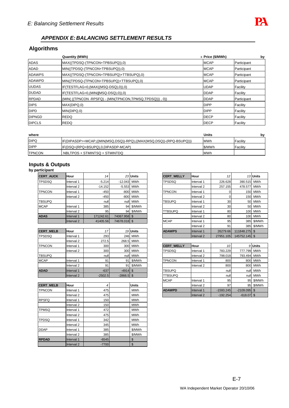

#### *APPENDIX E: BALANCING SETTLEMENT RESULTS*

#### **Algorithms**

|               | <b>Quantity (MWh)</b>                                | x Price (\$/MWh) | by          |
|---------------|------------------------------------------------------|------------------|-------------|
| ADAS          | MAX((TPDSQ-(TPNCON+TPBSUPQ)),0)                      | <b>MCAP</b>      | Participant |
| ADAD          | MIN((TPDSQ-(TPNCON+TPBSUPQ)),0)                      | <b>MCAP</b>      | Participant |
| <b>ADAWPS</b> | MAX((TPDSQ-(TPNCON+TPBSUPQ)+TTBSUPQ),0)              | <b>MCAP</b>      | Participant |
| ADAWPD        | MIN((TPDSQ-(TPNCON+TPBSUPQ)+TTBSUPQ).0)              | <b>MCAP</b>      | Participant |
| <b>UUDAS</b>  | IF(TESTFLAG=0,(MAX((MSQ-DSQ),0)),0)                  | <b>UDAP</b>      | Facility    |
| <b>DUDAD</b>  | IF(TESTFLAG=0,(MIN((MSQ-DSQ),0)),0)                  | <b>DDAP</b>      | Facility    |
| <b>RPDAD</b>  | (MIN(((TPNCON-RPSFQ)-(MIN(TPNCON,TPMSQ,TPDSQ))), 0)) | <b>DDAP</b>      | Participant |
| <b>DIPS</b>   | MAX(DIPQ,0)                                          | <b>DIPP</b>      | Facility    |
| <b>DIPD</b>   | MIN(DIPQ,0)                                          | <b>DIPP</b>      | Facility    |
| <b>DIPNGD</b> | <b>REDQ</b>                                          | <b>DECP</b>      | Facility    |
| <b>DIPCLS</b> | <b>REDQ</b>                                          | <b>DECP</b>      | Facility    |

| where         |                                                                      | Units      | b٧       |
|---------------|----------------------------------------------------------------------|------------|----------|
| <b>IDIPC</b>  | (IF(DIPASDP>=MCAP,((MIN(MSQ,DSQ))-RPQ),((MAX(MSQ,DSQ))-(RPQ-BSUPQ))) | <b>MWh</b> | Facility |
| <b>IDIPP</b>  | IF(DSQ=(RPQ+BSUPQ),0,DIPASDP-MCAP)                                   | S/MWh      | Facility |
| <b>TPNCON</b> | NBLTPOS + STMINTSQ + STMINTDQ                                        | <b>MWh</b> |          |

#### **Inputs & Outputs**

#### **by participant**

| <b>CERT AUCK</b> | Hour       | 14        |                 | 23 Units     | <b>CERT WELLY</b> | l Hour     | 12              |
|------------------|------------|-----------|-----------------|--------------|-------------------|------------|-----------------|
| <b>TPSDSQ</b>    | Interval 1 | $-5.214$  | $-12.043$ MWh   |              | <b>TPSDSQ</b>     | Interval 1 | 226.628         |
|                  | Interval 2 | $-14.152$ |                 | $-5.553$ MWh |                   | Interval 2 | 257.155         |
| <b>TPNCON</b>    | Interval 1 | $-450$    |                 | $-800$ MWh   | <b>TPNCON</b>     | Interval 1 |                 |
|                  | Interval 2 | $-450$    |                 | $-800$ MWh   |                   | Interval 2 |                 |
| <b>TBSUPQ</b>    |            | null      |                 | null MWh     | <b>TBSUPQ</b>     | Interval 1 | 30              |
| <b>MCAP</b>      | Interval 1 | 385       |                 | 94 S/MWh     |                   | Interval 2 | 30              |
|                  | Interval 2 | 95        |                 | 94 S/MWh     | <b>TTBSUPQ</b>    | Interval 1 | 80              |
| <b>ADAS</b>      | Interval 1 | 171242.61 | 74067.958 \\ \$ |              |                   | Interval 2 | 80              |
|                  | Interval 2 | 41405.56  | 74678.018 \$    |              | <b>MCAP</b>       | Interval 1 | 95 <sub>1</sub> |

| <b>CERT MELB</b> | Hour                  |          |            | 19 Units   |
|------------------|-----------------------|----------|------------|------------|
| <b>TPSDSQ</b>    | Interval 1            | 293      |            | 246 MWh    |
|                  | Interval 2            | 272.5    |            | 268.5 MWh  |
| <b>TPNCON</b>    | Interval 1            | 300      |            | 300 MWh    |
|                  | Interval 2            | 300      |            | 300 MWh    |
| <b>TBSUPQ</b>    |                       | null     |            | null MWh   |
| <b>MCAP</b>      | Interval 1            | 91       |            | 91 \$/MWh  |
|                  | Interval 2            | 91       |            | $91$ S/MWh |
| <b>ADAD</b>      | Interval 1            | $-637$   | $-4914$ \$ |            |
|                  | Intenzol <sub>2</sub> | $-25025$ | $-28665$   |            |

|                  |                       |         |              | $\cdots$      | .          | $\sim$      |                | $\sim$    |
|------------------|-----------------------|---------|--------------|---------------|------------|-------------|----------------|-----------|
| <b>CERT MELB</b> | Hour                  | 4       | <b>Units</b> |               | Interval 2 | 97          |                | 95 \$/MWh |
| <b>TPNCON</b>    | Interval 1            | 475     | <b>MWh</b>   | <b>ADAWPD</b> | Interval 1 | $-1593.245$ | $-2109.095$ \$ |           |
|                  | Interval 2            | 475     | MWh          |               | Interval 2 | $-192.254$  | $-618.07$ \$   |           |
| <b>RPSFQ</b>     | Interval 1            | 150     | <b>MWh</b>   |               |            |             |                |           |
|                  | Interval <sub>2</sub> | 150     | <b>MWh</b>   |               |            |             |                |           |
| <b>TPMSQ</b>     | Interval 1            | 472     | <b>MWh</b>   |               |            |             |                |           |
|                  | Interval 2            | 475     | <b>MWh</b>   |               |            |             |                |           |
| <b>TPDSQ</b>     | Interval 1            | 342     | <b>MWh</b>   |               |            |             |                |           |
|                  | Interval 2            | 345     | MWh          |               |            |             |                |           |
| <b>DDAP</b>      | Interval 1            | 385     | \$/MWh       |               |            |             |                |           |
|                  | Interval 2            | 385     | \$/MWh       |               |            |             |                |           |
| <b>RPDAD</b>     | Interval 1            | $-6545$ |              |               |            |             |                |           |
|                  | Interval <sub>2</sub> | $-7700$ | \$           |               |            |             |                |           |

| Hour       | 14        |               | 23 Units   |
|------------|-----------|---------------|------------|
| Interval 1 | $-5.214$  | $-12.043$ MWh |            |
| Interval 2 | $-14.152$ | $-5.553$ MWh  |            |
| Interval 1 | $-450$    |               | $-800$ MWh |
| Interval 2 | $-450$    | $-800$        | MWh        |
|            | null      | nulll         | MWh        |
| Interval 1 | 385       | 94            | \$/MWh     |
| Interval 2 | 95        | 94            | \$/MWh     |
| Interval 1 | 171242.61 | 74067.958     | \$         |
| Interval 2 | 41405.56  | 74678.018 \$  |            |
|            |           |               |            |
| Hour       | 17        |               | 19 Units   |
| Interval 1 | 293       |               | 246 MWh    |
| Interval 2 | 272.5     |               | 268.5 MWh  |

| Interval 1 | 300l      | 300          | MWh          |
|------------|-----------|--------------|--------------|
| Interval 2 | 300       | 300          | <b>MWh</b>   |
|            | nulll     | nulll        | MWh          |
| Interval 1 | 91        | 91           | \$/MWh       |
| Interval 2 | 91        | 91           | \$/MWh       |
| Interval 1 | $-637$    | $-4914$ \$   |              |
| Interval 2 | $-2502.5$ | $-2866.5$ \$ |              |
|            |           |              |              |
| Hour       |           |              | <b>Units</b> |
| Interval 1 | 475       |              | <b>MWh</b>   |
| Interval 2 | 475       |              | <b>MWh</b>   |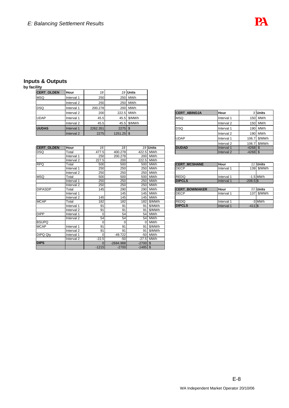#### **Inputs & Outputs**

**by facility**

| <b>CERT OLDEN</b> | lHour      | 18 <sub>1</sub> |              | 19 Units    |
|-------------------|------------|-----------------|--------------|-------------|
| <b>MSQ</b>        | Interval 1 | 250             |              | 250 MWh     |
|                   | Interval 2 | 250             |              | 250 MWh     |
| <b>DSQ</b>        | Interval 1 | 200.278         |              | 200 MWh     |
|                   | Interval 2 | 200             |              | 222.5 MWh   |
| <b>UDAP</b>       | Interval 1 | 45.5            |              | 45.5 \$/MWh |
|                   | Interval 2 | 45.5            |              | 45.5 \$/MWh |
| <b>UUDAS</b>      | Interval 1 | 2262.351        | $2275$ \$    |             |
|                   | Interval 2 | 2275            | $1251.25$ \$ |             |

| <b>CERT_OLDEN</b> | <b>Hour</b>           | 16       | 18          |            | 19 Units   | <b>DUDAD</b>         | Interval 1            | $-4268$ \$  |            |
|-------------------|-----------------------|----------|-------------|------------|------------|----------------------|-----------------------|-------------|------------|
| <b>DSQ</b>        | Total                 | 477.5    | 400.278     | 422.5      | <b>MWh</b> |                      | Interval <sub>2</sub> | $-4268$ \$  |            |
|                   | Interval 1            | 250      | 200.278     |            | 200 MWh    |                      |                       |             |            |
|                   | Interval 2            | 227.5    | 200         | 222.5      | MWh        |                      |                       |             |            |
| <b>RPQ</b>        | Total                 | 500      | 500         |            | 500 MWh    | <b>CERT MCSHANE</b>  | Hour                  |             | 11 Units   |
|                   | Interval 1            | 250      | 250         |            | 250 MWh    | <b>DECP</b>          | Interval 1            |             | 139 \$/MWH |
|                   | Interval <sub>2</sub> | 250      | 250         |            | 250 MWh    |                      |                       |             |            |
| <b>MSQ</b>        | Total                 | 500      | 500         |            | 500 MWh    | <b>REDQ</b>          | Interval 1            |             | $-1.5$ MWh |
|                   | Interval 1            | 250      | 250         |            | 250 MWh    | <b>DIPCLS</b>        | Interval 1            | $-208.5$ \$ |            |
|                   | Interval 2            | 250      | 250         |            | 250 MWh    |                      |                       |             |            |
| <b>DIPASDP</b>    | Total                 | 145      | 290         |            | 290 MWh    | <b>CERT BOWMAKER</b> | <b>Hour</b>           |             | 11 Units   |
|                   | Interval 1            |          | 145         | 145        | MWh        | <b>DECP</b>          | Interval 1            |             | 137 S/MWh  |
|                   | Interval 2            | 145      | 145         | 145        | MWh        |                      |                       |             |            |
| <b>MCAP</b>       | Total                 | 182      | 182         | 182        | \$/MWh     | <b>REDQ</b>          | Interval 1            |             | -3 MWh     |
|                   | Interval 1            | 91       | 91          |            | 91 \$/MWh  | <b>DIPCLS</b>        | Interval 1            | $-411$ \$   |            |
|                   | Interval 2            | 91       | 91          | 91         | \$/MWh     |                      |                       |             |            |
| <b>DIPP</b>       | Interval 1            | $\Omega$ | 54          | 54         | MWh        |                      |                       |             |            |
|                   | Interval 2            | 54       | 54          | 54         | MWh        |                      |                       |             |            |
| <b>BSUPQ</b>      |                       | 0        | 0           | $\Omega$   | MWh        |                      |                       |             |            |
| <b>MCAP</b>       | Interval 1            | 91       | 91          | 91         | \$/MWh     |                      |                       |             |            |
|                   | Interval 2            | 91       | 91          | 91         | \$/MWh     |                      |                       |             |            |
| <b>DIPQ Qty</b>   | Interval 1            | $\Omega$ | $-49.722$   | -50        | MWh        |                      |                       |             |            |
|                   | Interval 2            | $-22.5$  | $-50$       | $-27.5$    | MWh        |                      |                       |             |            |
| <b>DIPS</b>       |                       | $\Omega$ | $-2684.988$ | $-2700$ \$ |            |                      |                       |             |            |
|                   |                       | $-1215$  | $-2700$     | $-1485$ \$ |            |                      |                       |             |            |

| Interval 2            | 200      |                 | 222.5 MWh   |          | <b>ICERT ABINOJA</b> | <b>IHour</b> |            | 3 Units  |
|-----------------------|----------|-----------------|-------------|----------|----------------------|--------------|------------|----------|
| Interval 1            | 45.5     |                 | 45.5 \$/MWh |          | <b>MSQ</b>           | Interval 1   |            | 150l MWh |
| Interval 2            | 45.5     |                 | 45.5 \$/MWh |          |                      | Interval 2   |            | 150l MWh |
| Interval 1            | 2262.351 | $2275$ \$       |             |          | <b>DSQ</b>           | Interval 1   | 1901       | MWh      |
| Interval <sub>2</sub> | 2275     | $1251.25$ \$    |             |          |                      | Interval 2   | 190        | MWh      |
|                       |          |                 |             |          | <b>UDAP</b>          | Interval 1   | 106.       | \$/MWh   |
|                       |          |                 |             |          |                      | Interval 2   | 106.       | \$/MWh   |
| Hour                  | 16       | 18 <sub>1</sub> |             | 19 Units | <b>DUDAD</b>         | Interval 1   | $-4268$ \$ |          |
| Total                 | 477.5    | 400.278         | 422.5       | MWh      |                      | Interval 2   | $-4268$ \$ |          |

| <b>CERT MCSHANE</b>  | Hour       | 11          | <b>Units</b> |
|----------------------|------------|-------------|--------------|
| <b>DECP</b>          | Interval 1 | 139         | \$/MWh       |
|                      |            |             |              |
| <b>REDQ</b>          | Interval 1 |             | $-1.5$ MWh   |
| <b>DIPCLS</b>        | Interval 1 | $-208.5$ \$ |              |
|                      |            |             |              |
| <b>CERT BOWMAKER</b> | Hour       |             | Units        |
| <b>DECP</b>          | Interval 1 | 137         | \$/MWh       |
|                      |            |             |              |
| <b>REDQ</b>          | Interval 1 |             | -3 MWh       |
| <b>DIPCLS</b>        | Interval 1 | $-411$ $S$  |              |